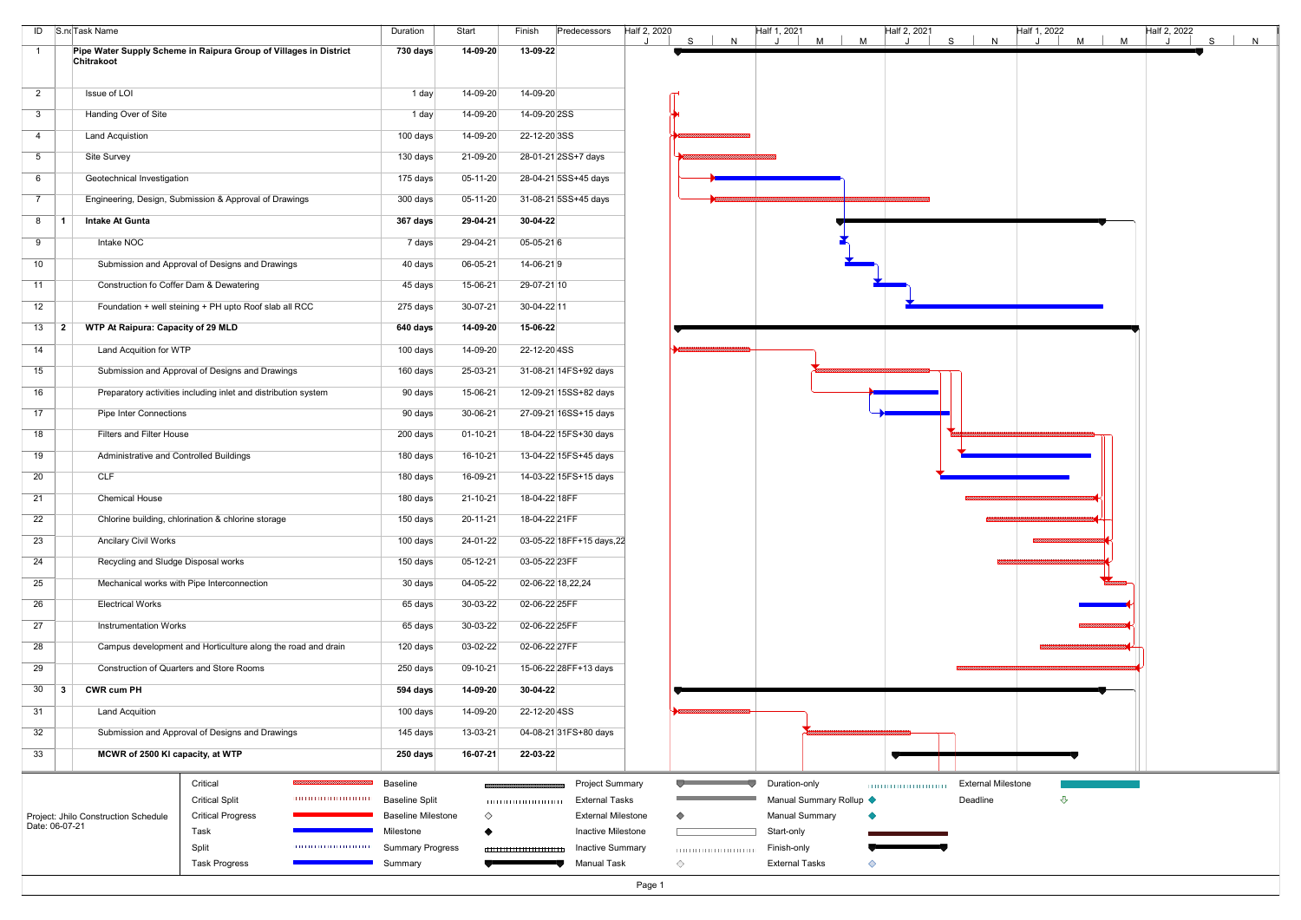|                                                                                 |                                                                                                                                                                                                                                                                                                                                                                                                                                                                                                                                                                                                                                                                                                                           |                                                                                                                                                                                                                                      |                                                                                                                                                                                                                                                                    | N                                                                                                                                                                                                                                                                                                                                               | J                                                                                                         | M                                                                           | S<br>N                       | $M$  <br>M<br>J | S<br>J                    | N |
|---------------------------------------------------------------------------------|---------------------------------------------------------------------------------------------------------------------------------------------------------------------------------------------------------------------------------------------------------------------------------------------------------------------------------------------------------------------------------------------------------------------------------------------------------------------------------------------------------------------------------------------------------------------------------------------------------------------------------------------------------------------------------------------------------------------------|--------------------------------------------------------------------------------------------------------------------------------------------------------------------------------------------------------------------------------------|--------------------------------------------------------------------------------------------------------------------------------------------------------------------------------------------------------------------------------------------------------------------|-------------------------------------------------------------------------------------------------------------------------------------------------------------------------------------------------------------------------------------------------------------------------------------------------------------------------------------------------|-----------------------------------------------------------------------------------------------------------|-----------------------------------------------------------------------------|------------------------------|-----------------|---------------------------|---|
| Pipe Water Supply Scheme in Raipura Group of Villages in District<br>Chitrakoot | <b>730 days</b>                                                                                                                                                                                                                                                                                                                                                                                                                                                                                                                                                                                                                                                                                                           | 14-09-20                                                                                                                                                                                                                             | 13-09-22                                                                                                                                                                                                                                                           | S                                                                                                                                                                                                                                                                                                                                               | M                                                                                                         |                                                                             |                              |                 |                           |   |
|                                                                                 |                                                                                                                                                                                                                                                                                                                                                                                                                                                                                                                                                                                                                                                                                                                           |                                                                                                                                                                                                                                      |                                                                                                                                                                                                                                                                    |                                                                                                                                                                                                                                                                                                                                                 |                                                                                                           |                                                                             |                              |                 |                           |   |
| Issue of LOI                                                                    | 1 day                                                                                                                                                                                                                                                                                                                                                                                                                                                                                                                                                                                                                                                                                                                     | 14-09-20                                                                                                                                                                                                                             | 14-09-20                                                                                                                                                                                                                                                           |                                                                                                                                                                                                                                                                                                                                                 |                                                                                                           |                                                                             |                              |                 |                           |   |
| Handing Over of Site                                                            | 1 day                                                                                                                                                                                                                                                                                                                                                                                                                                                                                                                                                                                                                                                                                                                     | 14-09-20                                                                                                                                                                                                                             | 14-09-20 2SS                                                                                                                                                                                                                                                       |                                                                                                                                                                                                                                                                                                                                                 |                                                                                                           |                                                                             |                              |                 |                           |   |
| <b>Land Acquistion</b>                                                          | 100 days                                                                                                                                                                                                                                                                                                                                                                                                                                                                                                                                                                                                                                                                                                                  | 14-09-20                                                                                                                                                                                                                             | 22-12-20 3SS                                                                                                                                                                                                                                                       |                                                                                                                                                                                                                                                                                                                                                 |                                                                                                           |                                                                             |                              |                 |                           |   |
| Site Survey                                                                     | 130 days                                                                                                                                                                                                                                                                                                                                                                                                                                                                                                                                                                                                                                                                                                                  | 21-09-20                                                                                                                                                                                                                             | 28-01-21 2SS+7 days                                                                                                                                                                                                                                                |                                                                                                                                                                                                                                                                                                                                                 |                                                                                                           |                                                                             |                              |                 |                           |   |
| Geotechnical Investigation                                                      | 175 days                                                                                                                                                                                                                                                                                                                                                                                                                                                                                                                                                                                                                                                                                                                  | $05-11-20$                                                                                                                                                                                                                           | 28-04-21 5SS+45 days                                                                                                                                                                                                                                               |                                                                                                                                                                                                                                                                                                                                                 |                                                                                                           |                                                                             |                              |                 |                           |   |
| Engineering, Design, Submission & Approval of Drawings                          | 300 days                                                                                                                                                                                                                                                                                                                                                                                                                                                                                                                                                                                                                                                                                                                  | $05-11-20$                                                                                                                                                                                                                           | 31-08-21 5SS+45 days                                                                                                                                                                                                                                               |                                                                                                                                                                                                                                                                                                                                                 |                                                                                                           |                                                                             |                              |                 |                           |   |
| <b>Intake At Gunta</b>                                                          | 367 days                                                                                                                                                                                                                                                                                                                                                                                                                                                                                                                                                                                                                                                                                                                  | 29-04-21                                                                                                                                                                                                                             | 30-04-22                                                                                                                                                                                                                                                           |                                                                                                                                                                                                                                                                                                                                                 |                                                                                                           |                                                                             |                              |                 |                           |   |
| Intake NOC                                                                      | 7 days                                                                                                                                                                                                                                                                                                                                                                                                                                                                                                                                                                                                                                                                                                                    | 29-04-21                                                                                                                                                                                                                             | $05-05-216$                                                                                                                                                                                                                                                        |                                                                                                                                                                                                                                                                                                                                                 |                                                                                                           |                                                                             |                              |                 |                           |   |
| Submission and Approval of Designs and Drawings                                 | 40 days                                                                                                                                                                                                                                                                                                                                                                                                                                                                                                                                                                                                                                                                                                                   | 06-05-21                                                                                                                                                                                                                             | 14-06-219                                                                                                                                                                                                                                                          |                                                                                                                                                                                                                                                                                                                                                 |                                                                                                           |                                                                             |                              |                 |                           |   |
| Construction fo Coffer Dam & Dewatering                                         | 45 days                                                                                                                                                                                                                                                                                                                                                                                                                                                                                                                                                                                                                                                                                                                   | 15-06-21                                                                                                                                                                                                                             | 29-07-21 10                                                                                                                                                                                                                                                        |                                                                                                                                                                                                                                                                                                                                                 |                                                                                                           |                                                                             |                              |                 |                           |   |
| Foundation + well steining + PH upto Roof slab all RCC                          | 275 days                                                                                                                                                                                                                                                                                                                                                                                                                                                                                                                                                                                                                                                                                                                  | 30-07-21                                                                                                                                                                                                                             | 30-04-22 11                                                                                                                                                                                                                                                        |                                                                                                                                                                                                                                                                                                                                                 |                                                                                                           |                                                                             |                              |                 |                           |   |
| WTP At Raipura: Capacity of 29 MLD                                              | 640 days                                                                                                                                                                                                                                                                                                                                                                                                                                                                                                                                                                                                                                                                                                                  | 14-09-20                                                                                                                                                                                                                             | 15-06-22                                                                                                                                                                                                                                                           |                                                                                                                                                                                                                                                                                                                                                 |                                                                                                           |                                                                             |                              |                 |                           |   |
| Land Acquition for WTP                                                          | 100 days                                                                                                                                                                                                                                                                                                                                                                                                                                                                                                                                                                                                                                                                                                                  | 14-09-20                                                                                                                                                                                                                             | 22-12-20 4SS                                                                                                                                                                                                                                                       |                                                                                                                                                                                                                                                                                                                                                 |                                                                                                           |                                                                             |                              |                 |                           |   |
| Submission and Approval of Designs and Drawings                                 | 160 days                                                                                                                                                                                                                                                                                                                                                                                                                                                                                                                                                                                                                                                                                                                  | 25-03-21                                                                                                                                                                                                                             | 31-08-21 14FS+92 days                                                                                                                                                                                                                                              |                                                                                                                                                                                                                                                                                                                                                 |                                                                                                           |                                                                             |                              |                 |                           |   |
| Preparatory activities including inlet and distribution system                  | 90 days                                                                                                                                                                                                                                                                                                                                                                                                                                                                                                                                                                                                                                                                                                                   | 15-06-21                                                                                                                                                                                                                             | 12-09-21 15SS+82 days                                                                                                                                                                                                                                              |                                                                                                                                                                                                                                                                                                                                                 |                                                                                                           |                                                                             |                              |                 |                           |   |
| <b>Pipe Inter Connections</b>                                                   |                                                                                                                                                                                                                                                                                                                                                                                                                                                                                                                                                                                                                                                                                                                           | 30-06-21                                                                                                                                                                                                                             | 27-09-21 16SS+15 days                                                                                                                                                                                                                                              |                                                                                                                                                                                                                                                                                                                                                 |                                                                                                           |                                                                             |                              |                 |                           |   |
| <b>Filters and Filter House</b>                                                 |                                                                                                                                                                                                                                                                                                                                                                                                                                                                                                                                                                                                                                                                                                                           |                                                                                                                                                                                                                                      |                                                                                                                                                                                                                                                                    |                                                                                                                                                                                                                                                                                                                                                 |                                                                                                           |                                                                             |                              |                 |                           |   |
|                                                                                 |                                                                                                                                                                                                                                                                                                                                                                                                                                                                                                                                                                                                                                                                                                                           |                                                                                                                                                                                                                                      |                                                                                                                                                                                                                                                                    |                                                                                                                                                                                                                                                                                                                                                 |                                                                                                           |                                                                             |                              |                 |                           |   |
|                                                                                 |                                                                                                                                                                                                                                                                                                                                                                                                                                                                                                                                                                                                                                                                                                                           |                                                                                                                                                                                                                                      |                                                                                                                                                                                                                                                                    |                                                                                                                                                                                                                                                                                                                                                 |                                                                                                           |                                                                             |                              |                 |                           |   |
|                                                                                 |                                                                                                                                                                                                                                                                                                                                                                                                                                                                                                                                                                                                                                                                                                                           |                                                                                                                                                                                                                                      |                                                                                                                                                                                                                                                                    |                                                                                                                                                                                                                                                                                                                                                 |                                                                                                           |                                                                             |                              |                 |                           |   |
|                                                                                 |                                                                                                                                                                                                                                                                                                                                                                                                                                                                                                                                                                                                                                                                                                                           |                                                                                                                                                                                                                                      |                                                                                                                                                                                                                                                                    |                                                                                                                                                                                                                                                                                                                                                 |                                                                                                           |                                                                             |                              |                 |                           |   |
|                                                                                 |                                                                                                                                                                                                                                                                                                                                                                                                                                                                                                                                                                                                                                                                                                                           |                                                                                                                                                                                                                                      |                                                                                                                                                                                                                                                                    |                                                                                                                                                                                                                                                                                                                                                 |                                                                                                           |                                                                             |                              |                 |                           |   |
|                                                                                 |                                                                                                                                                                                                                                                                                                                                                                                                                                                                                                                                                                                                                                                                                                                           |                                                                                                                                                                                                                                      |                                                                                                                                                                                                                                                                    |                                                                                                                                                                                                                                                                                                                                                 |                                                                                                           |                                                                             |                              |                 |                           |   |
|                                                                                 |                                                                                                                                                                                                                                                                                                                                                                                                                                                                                                                                                                                                                                                                                                                           |                                                                                                                                                                                                                                      |                                                                                                                                                                                                                                                                    |                                                                                                                                                                                                                                                                                                                                                 |                                                                                                           |                                                                             |                              |                 |                           |   |
|                                                                                 |                                                                                                                                                                                                                                                                                                                                                                                                                                                                                                                                                                                                                                                                                                                           |                                                                                                                                                                                                                                      |                                                                                                                                                                                                                                                                    |                                                                                                                                                                                                                                                                                                                                                 |                                                                                                           |                                                                             |                              |                 |                           |   |
|                                                                                 |                                                                                                                                                                                                                                                                                                                                                                                                                                                                                                                                                                                                                                                                                                                           |                                                                                                                                                                                                                                      |                                                                                                                                                                                                                                                                    |                                                                                                                                                                                                                                                                                                                                                 |                                                                                                           |                                                                             |                              |                 |                           |   |
|                                                                                 |                                                                                                                                                                                                                                                                                                                                                                                                                                                                                                                                                                                                                                                                                                                           |                                                                                                                                                                                                                                      |                                                                                                                                                                                                                                                                    |                                                                                                                                                                                                                                                                                                                                                 |                                                                                                           |                                                                             |                              |                 |                           |   |
|                                                                                 |                                                                                                                                                                                                                                                                                                                                                                                                                                                                                                                                                                                                                                                                                                                           |                                                                                                                                                                                                                                      |                                                                                                                                                                                                                                                                    |                                                                                                                                                                                                                                                                                                                                                 |                                                                                                           |                                                                             |                              |                 |                           |   |
|                                                                                 |                                                                                                                                                                                                                                                                                                                                                                                                                                                                                                                                                                                                                                                                                                                           |                                                                                                                                                                                                                                      |                                                                                                                                                                                                                                                                    |                                                                                                                                                                                                                                                                                                                                                 |                                                                                                           |                                                                             |                              |                 |                           |   |
|                                                                                 |                                                                                                                                                                                                                                                                                                                                                                                                                                                                                                                                                                                                                                                                                                                           |                                                                                                                                                                                                                                      |                                                                                                                                                                                                                                                                    |                                                                                                                                                                                                                                                                                                                                                 |                                                                                                           |                                                                             |                              |                 |                           |   |
|                                                                                 |                                                                                                                                                                                                                                                                                                                                                                                                                                                                                                                                                                                                                                                                                                                           |                                                                                                                                                                                                                                      |                                                                                                                                                                                                                                                                    |                                                                                                                                                                                                                                                                                                                                                 |                                                                                                           |                                                                             |                              |                 |                           |   |
|                                                                                 |                                                                                                                                                                                                                                                                                                                                                                                                                                                                                                                                                                                                                                                                                                                           |                                                                                                                                                                                                                                      |                                                                                                                                                                                                                                                                    |                                                                                                                                                                                                                                                                                                                                                 |                                                                                                           |                                                                             |                              |                 |                           |   |
|                                                                                 | 250 days                                                                                                                                                                                                                                                                                                                                                                                                                                                                                                                                                                                                                                                                                                                  |                                                                                                                                                                                                                                      |                                                                                                                                                                                                                                                                    |                                                                                                                                                                                                                                                                                                                                                 |                                                                                                           |                                                                             |                              |                 |                           |   |
| Critical                                                                        | Baseline                                                                                                                                                                                                                                                                                                                                                                                                                                                                                                                                                                                                                                                                                                                  |                                                                                                                                                                                                                                      |                                                                                                                                                                                                                                                                    |                                                                                                                                                                                                                                                                                                                                                 | Duration-only                                                                                             |                                                                             |                              |                 |                           |   |
| <b>Critical Split</b>                                                           | <b>Baseline Split</b>                                                                                                                                                                                                                                                                                                                                                                                                                                                                                                                                                                                                                                                                                                     |                                                                                                                                                                                                                                      | <b>External Tasks</b>                                                                                                                                                                                                                                              |                                                                                                                                                                                                                                                                                                                                                 |                                                                                                           |                                                                             | Deadline                     | $\triangle$     |                           |   |
|                                                                                 |                                                                                                                                                                                                                                                                                                                                                                                                                                                                                                                                                                                                                                                                                                                           | ♦                                                                                                                                                                                                                                    |                                                                                                                                                                                                                                                                    |                                                                                                                                                                                                                                                                                                                                                 |                                                                                                           |                                                                             |                              |                 |                           |   |
|                                                                                 |                                                                                                                                                                                                                                                                                                                                                                                                                                                                                                                                                                                                                                                                                                                           |                                                                                                                                                                                                                                      |                                                                                                                                                                                                                                                                    |                                                                                                                                                                                                                                                                                                                                                 |                                                                                                           |                                                                             |                              |                 |                           |   |
|                                                                                 |                                                                                                                                                                                                                                                                                                                                                                                                                                                                                                                                                                                                                                                                                                                           |                                                                                                                                                                                                                                      |                                                                                                                                                                                                                                                                    |                                                                                                                                                                                                                                                                                                                                                 |                                                                                                           |                                                                             |                              |                 |                           |   |
|                                                                                 | $13$ 2<br>Administrative and Controlled Buildings<br>CLF<br><b>Chemical House</b><br>Chlorine building, chlorination & chlorine storage<br><b>Ancilary Civil Works</b><br>Recycling and Sludge Disposal works<br>Mechanical works with Pipe Interconnection<br><b>Electrical Works</b><br><b>Instrumentation Works</b><br>Campus development and Horticulture along the road and drain<br>Construction of Quarters and Store Rooms<br><b>CWR cum PH</b><br>$\vert 3 \vert$<br><b>Land Acquition</b><br>Submission and Approval of Designs and Drawings<br>MCWR of 2500 KI capacity, at WTP<br><b>Critical Progress</b><br>Project: Jhilo Construction Schedule<br>Date: 06-07-21<br>Task<br>Split<br><b>Task Progress</b> | 90 days<br>200 days<br>180 days<br>180 days<br>180 days<br>150 days<br>100 days<br>150 days<br>30 days<br>65 days<br>65 days<br>120 days<br>250 days<br>594 days<br>100 days<br>145 days<br>Milestone<br>0000000000000000<br>Summary | $01 - 10 - 21$<br>16-10-21<br>16-09-21<br>$21 - 10 - 21$<br>20-11-21<br>24-01-22<br>$05-12-21$<br>04-05-22<br>30-03-22<br>30-03-22<br>03-02-22<br>09-10-21<br>14-09-20<br>14-09-20<br>13-03-21<br>16-07-21<br><b>Baseline Milestone</b><br><b>Summary Progress</b> | 18-04-22 15FS+30 days<br>13-04-22 15FS+45 days<br>14-03-22 15FS+15 days<br>18-04-22 18FF<br>18-04-22 21FF<br>03-05-22 18FF+15 days, 22<br>03-05-22 23FF<br>02-06-22 18,22,24<br>02-06-22 25FF<br>02-06-22 25FF<br>02-06-22 27FF<br>15-06-22 28FF+13 days<br>30-04-22<br>22-12-20 4SS<br>04-08-21 31FS+80 days<br>22-03-22<br><b>Manual Task</b> | <b>Project Summary</b><br><b>External Milestone</b><br>Inactive Milestone<br><b>Inactive Summary</b><br>◇ | <b>Manual Summary</b><br>Start-only<br>Finish-only<br><b>External Tasks</b> | Manual Summary Rollup <<br>◇ |                 | <b>External Milestone</b> |   |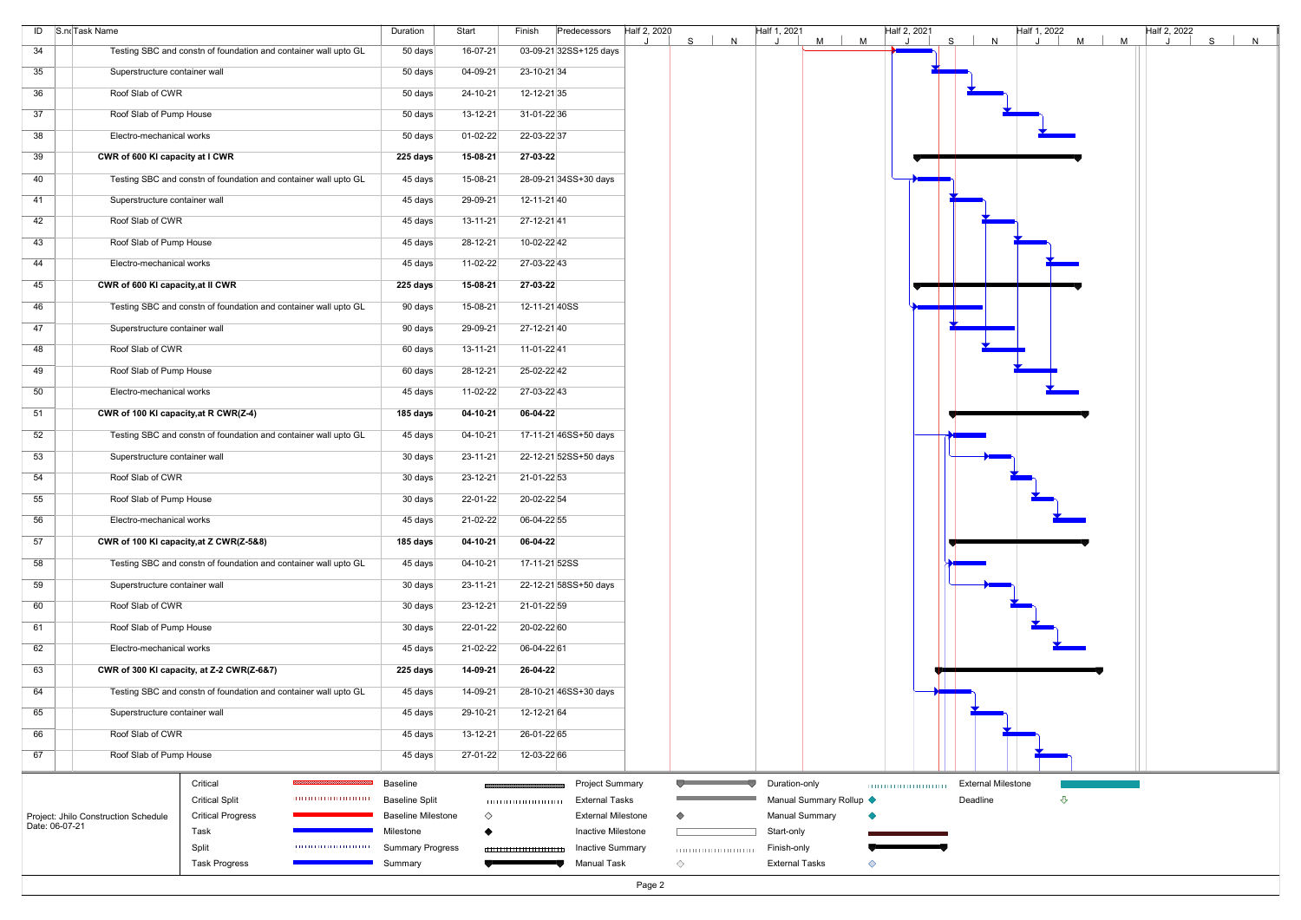|                | ID S.noTask Name                                                 | Duration                  | Start          | Finish<br>Predecessors    | Half 2, 2020<br>N<br>S. | Half 1, 2021<br>$M$  <br>M | Half 2, 2021 | S.<br>N                   | $H$ alf 1, 2022<br>$M$  <br>M | Half 2, 2022<br>S | N |
|----------------|------------------------------------------------------------------|---------------------------|----------------|---------------------------|-------------------------|----------------------------|--------------|---------------------------|-------------------------------|-------------------|---|
| 34             | Testing SBC and constn of foundation and container wall upto GL  | 50 days                   | $16-07-21$     | 03-09-21 32SS+125 days    |                         |                            |              |                           |                               |                   |   |
| 35             | Superstructure container wall                                    | 50 days                   | 04-09-21       | 23-10-21 34               |                         |                            |              |                           |                               |                   |   |
| 36             | Roof Slab of CWR                                                 | 50 days                   | 24-10-21       | 12-12-21 35               |                         |                            |              |                           |                               |                   |   |
| 37             | Roof Slab of Pump House                                          | 50 days                   | $13 - 12 - 21$ | 31-01-2236                |                         |                            |              |                           |                               |                   |   |
| 38             | Electro-mechanical works                                         | 50 days                   | 01-02-22       | 22-03-22 37               |                         |                            |              |                           |                               |                   |   |
| 39             | CWR of 600 KI capacity at I CWR                                  | 225 days                  | 15-08-21       | 27-03-22                  |                         |                            |              |                           |                               |                   |   |
| 40             | Testing SBC and constn of foundation and container wall upto GL  | 45 days                   | 15-08-21       | 28-09-21 34SS+30 days     |                         |                            |              |                           |                               |                   |   |
| 41             | Superstructure container wall                                    | 45 days                   | 29-09-21       | 12-11-2140                |                         |                            |              |                           |                               |                   |   |
| 42             | Roof Slab of CWR                                                 | 45 days                   | $13 - 11 - 21$ | 27-12-2141                |                         |                            |              |                           |                               |                   |   |
| 43             | Roof Slab of Pump House                                          | 45 days                   | 28-12-21       | 10-02-22 42               |                         |                            |              |                           |                               |                   |   |
| 44             | Electro-mechanical works                                         | 45 days                   | 11-02-22       | 27-03-22 43               |                         |                            |              |                           |                               |                   |   |
| 45             | CWR of 600 KI capacity, at II CWR                                | 225 days                  | 15-08-21       | 27-03-22                  |                         |                            |              |                           |                               |                   |   |
| 46             | Testing SBC and constn of foundation and container wall upto GL  | 90 days                   | 15-08-21       | 12-11-21 40SS             |                         |                            |              |                           |                               |                   |   |
| 47             | Superstructure container wall                                    | 90 days                   | 29-09-21       | 27-12-2140                |                         |                            |              |                           |                               |                   |   |
| 48             | Roof Slab of CWR                                                 | 60 days                   | $13 - 11 - 21$ | 11-01-22 41               |                         |                            |              |                           |                               |                   |   |
| 49             | Roof Slab of Pump House                                          | 60 days                   | 28-12-21       | 25-02-22 42               |                         |                            |              |                           |                               |                   |   |
| 50             | Electro-mechanical works                                         | 45 days                   | 11-02-22       | 27-03-22 43               |                         |                            |              |                           |                               |                   |   |
| 51             | CWR of 100 KI capacity, at R CWR(Z-4)                            | 185 days                  | 04-10-21       | 06-04-22                  |                         |                            |              |                           |                               |                   |   |
| 52             | Testing SBC and constn of foundation and container wall upto GL  | 45 days                   | $04 - 10 - 21$ | 17-11-21 46SS+50 days     |                         |                            |              |                           |                               |                   |   |
| 53             | Superstructure container wall                                    | 30 days                   | $23 - 11 - 21$ | 22-12-21 52SS+50 days     |                         |                            |              |                           |                               |                   |   |
| 54             | Roof Slab of CWR                                                 | 30 days                   | 23-12-21       | 21-01-22 53               |                         |                            |              |                           |                               |                   |   |
| 55             | Roof Slab of Pump House                                          | 30 days                   | 22-01-22       | 20-02-22 54               |                         |                            |              |                           |                               |                   |   |
| 56             | Electro-mechanical works                                         | 45 days                   | 21-02-22       | 06-04-22 55               |                         |                            |              |                           |                               |                   |   |
| 57             | CWR of 100 KI capacity, at Z CWR(Z-5&8)                          | 185 days                  | 04-10-21       | 06-04-22                  |                         |                            |              |                           |                               |                   |   |
| 58             | Testing SBC and constn of foundation and container wall upto GL  | 45 days                   | $04 - 10 - 21$ | 17-11-21 52SS             |                         |                            |              |                           |                               |                   |   |
| 59             | Superstructure container wall                                    | 30 days                   | $23 - 11 - 21$ | 22-12-21 58SS+50 days     |                         |                            |              |                           |                               |                   |   |
| 60             | Roof Slab of CWR                                                 | 30 days                   | $23 - 12 - 21$ | 21-01-22 59               |                         |                            |              |                           |                               |                   |   |
| 61             | Roof Slab of Pump House                                          | 30 days                   | 22-01-22       | 20-02-22 60               |                         |                            |              |                           |                               |                   |   |
| 62             | Electro-mechanical works                                         | 45 days                   | 21-02-22       | 06-04-22 61               |                         |                            |              |                           |                               |                   |   |
| 63             | CWR of 300 KI capacity, at Z-2 CWR(Z-6&7)                        | 225 days                  | 14-09-21       | 26-04-22                  |                         |                            |              |                           |                               |                   |   |
| 64             | Testing SBC and constn of foundation and container wall upto GL  | 45 days                   | 14-09-21       | 28-10-21 46SS+30 days     |                         |                            |              |                           |                               |                   |   |
| 65             | Superstructure container wall                                    | 45 days                   | 29-10-21       | 12-12-21 64               |                         |                            |              |                           |                               |                   |   |
| 66             | Roof Slab of CWR                                                 | 45 days                   | $13 - 12 - 21$ | 26-01-22 65               |                         |                            |              |                           |                               |                   |   |
| 67             | Roof Slab of Pump House                                          | 45 days                   | 27-01-22       | 12-03-22 66               |                         |                            |              |                           |                               |                   |   |
|                | ,,,,,,,,,,,,,,,,,<br>Critical                                    | Baseline                  |                | <b>Project Summary</b>    |                         | Duration-only              |              | <b>External Milestone</b> |                               |                   |   |
|                | <b>Critical Split</b>                                            | <b>Baseline Split</b>     |                | <b>External Tasks</b>     |                         | Manual Summary Rollup <    |              | Deadline                  | ⇩                             |                   |   |
| Date: 06-07-21 | <b>Critical Progress</b><br>Project: Jhilo Construction Schedule | <b>Baseline Milestone</b> | ♦              | <b>External Milestone</b> | ◇                       | <b>Manual Summary</b>      |              |                           |                               |                   |   |
|                | Task                                                             | Milestone                 |                | Inactive Milestone        |                         | Start-only                 |              |                           |                               |                   |   |
|                | Split<br>101010101010101010101                                   | <b>Summary Progress</b>   |                | <b>Inactive Summary</b>   |                         | Finish-only                |              |                           |                               |                   |   |
|                | <b>Task Progress</b>                                             | Summary                   |                | <b>Manual Task</b>        | ◇                       | <b>External Tasks</b><br>◇ |              |                           |                               |                   |   |

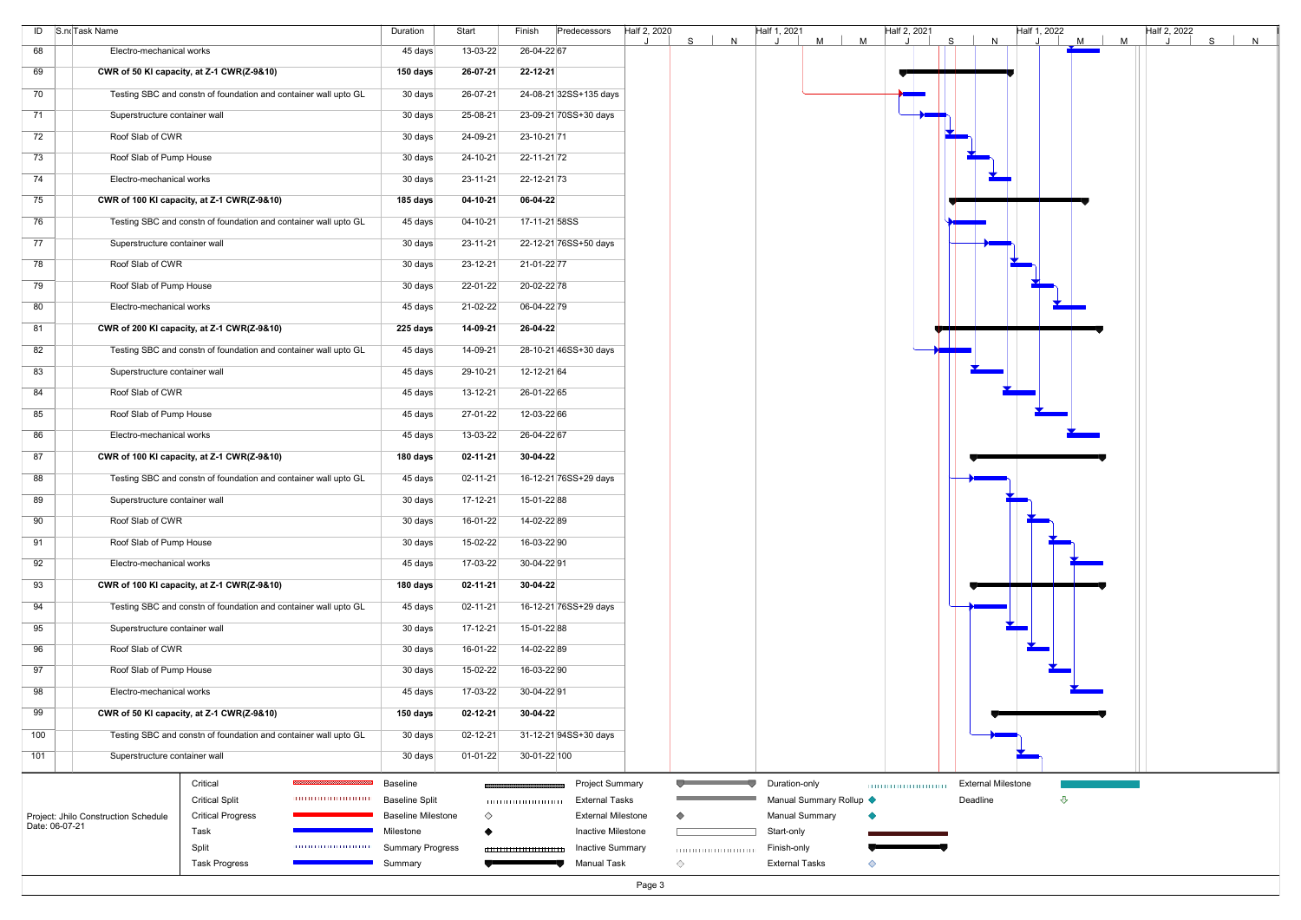| 26-04-22 67<br>13-03-22<br>Electro-mechanical works<br>45 days<br>26-07-21<br>22-12-21<br>CWR of 50 KI capacity, at Z-1 CWR(Z-9&10)<br>150 days<br>Testing SBC and constn of foundation and container wall upto GL<br>30 days<br>26-07-21<br>24-08-21 32SS+135 days<br>25-08-21<br>23-09-21 70SS+30 days<br>Superstructure container wall<br>30 days<br>24-09-21<br>23-10-21 71<br>Roof Slab of CWR<br>30 days<br>Roof Slab of Pump House<br>30 days<br>24-10-21<br>22-11-21 72<br>Electro-mechanical works<br>22-12-21 73<br>30 days<br>$23 - 11 - 21$<br>CWR of 100 KI capacity, at Z-1 CWR(Z-9&10)<br>185 days<br>04-10-21<br>06-04-22<br>Testing SBC and constn of foundation and container wall upto GL<br>04-10-21<br>45 days<br>17-11-21 58SS<br>Superstructure container wall<br>30 days<br>$23 - 11 - 21$<br>22-12-21 76SS+50 days<br>$23 - 12 - 21$<br>Roof Slab of CWR<br>30 days<br>21-01-22 77<br>Roof Slab of Pump House<br>30 days<br>22-01-22<br>20-02-22 78<br>Electro-mechanical works<br>21-02-22<br>06-04-22 79<br>45 days<br>14-09-21<br>26-04-22<br>CWR of 200 KI capacity, at Z-1 CWR(Z-9&10)<br>225 days<br>Testing SBC and constn of foundation and container wall upto GL<br>14-09-21<br>45 days<br>28-10-21 46SS+30 days<br>45 days<br>29-10-21<br>12-12-21 64<br>Superstructure container wall<br>Roof Slab of CWR<br>13-12-21<br>45 days<br>26-01-22 65<br>Roof Slab of Pump House<br>45 days<br>27-01-22<br>12-03-22 66<br>13-03-22<br>26-04-22 67<br>Electro-mechanical works<br>45 days<br>02-11-21<br>30-04-22<br>CWR of 100 KI capacity, at Z-1 CWR(Z-9&10)<br>180 days<br>Testing SBC and constn of foundation and container wall upto GL<br>45 days<br>$02 - 11 - 21$<br>16-12-21 76SS+29 days<br>$17 - 12 - 21$<br>15-01-22 88<br>Superstructure container wall<br>30 days<br>Roof Slab of CWR<br>16-01-22<br>14-02-22 89<br>30 days<br>15-02-22<br>Roof Slab of Pump House<br>16-03-22 90<br>30 days<br>Electro-mechanical works<br>17-03-22<br>30-04-2291<br>45 days<br>CWR of 100 KI capacity, at Z-1 CWR(Z-9&10)<br>02-11-21<br>30-04-22<br>180 days<br>Testing SBC and constn of foundation and container wall upto GL<br>02-11-21<br>16-12-21 76SS+29 days<br>45 days<br>17-12-21<br>15-01-22 88<br>Superstructure container wall<br>30 days<br>Roof Slab of CWR<br>16-01-22<br>30 days<br>14-02-22 89<br>Roof Slab of Pump House<br>15-02-22<br>16-03-22 90<br>30 days<br>Electro-mechanical works<br>30-04-2291<br>45 days<br>17-03-22<br>$02 - 12 - 21$<br>30-04-22<br>CWR of 50 KI capacity, at Z-1 CWR(Z-9&10)<br>150 days<br>Testing SBC and constn of foundation and container wall upto GL<br>02-12-21<br>30 days<br>31-12-21 94SS+30 days<br>30-01-22 100<br>Superstructure container wall<br>30 days<br>01-01-22<br>Critical<br>Baseline<br>Project Summary<br>Duration-only<br><b>External Milestone</b><br><b>Critical Split</b><br><b>Baseline Split</b><br><b>External Tasks</b><br>Manual Summary Rollup <<br>Deadline<br>$\triangle$<br><b>Critical Progress</b><br>♦<br><b>External Milestone</b><br>Project: Jhilo Construction Schedule<br><b>Baseline Milestone</b><br><b>Manual Summary</b><br>◇<br>Date: 06-07-21<br>Inactive Milestone<br>Start-only<br>Task<br>Milestone<br>Split<br><b>Inactive Summary</b><br><b>Summary Progress</b><br>Finish-only<br>11111111111111111111111<br><b>Task Progress</b><br><b>Manual Task</b><br>◇<br><b>External Tasks</b><br>Summary<br>◇ |     | ID S.noTask Name | Duration | Start | Finish | Predecessors | Half 2, 2020 | N<br>S | Half 1, 2021 | M<br>M | Half 2, 2021 | S.<br>N | Half 1, 2022 | M<br>M | Half 2, 2022 | S<br>N |
|--------------------------------------------------------------------------------------------------------------------------------------------------------------------------------------------------------------------------------------------------------------------------------------------------------------------------------------------------------------------------------------------------------------------------------------------------------------------------------------------------------------------------------------------------------------------------------------------------------------------------------------------------------------------------------------------------------------------------------------------------------------------------------------------------------------------------------------------------------------------------------------------------------------------------------------------------------------------------------------------------------------------------------------------------------------------------------------------------------------------------------------------------------------------------------------------------------------------------------------------------------------------------------------------------------------------------------------------------------------------------------------------------------------------------------------------------------------------------------------------------------------------------------------------------------------------------------------------------------------------------------------------------------------------------------------------------------------------------------------------------------------------------------------------------------------------------------------------------------------------------------------------------------------------------------------------------------------------------------------------------------------------------------------------------------------------------------------------------------------------------------------------------------------------------------------------------------------------------------------------------------------------------------------------------------------------------------------------------------------------------------------------------------------------------------------------------------------------------------------------------------------------------------------------------------------------------------------------------------------------------------------------------------------------------------------------------------------------------------------------------------------------------------------------------------------------------------------------------------------------------------------------------------------------------------------------------------------------------------------------------------------------------------------------------------------------------------------------------------------------------------------------------------------------------------------------------------------------------------------------------------------------------------------------------------------------------------------------------------------------------------------------------------------------------------------------------|-----|------------------|----------|-------|--------|--------------|--------------|--------|--------------|--------|--------------|---------|--------------|--------|--------------|--------|
|                                                                                                                                                                                                                                                                                                                                                                                                                                                                                                                                                                                                                                                                                                                                                                                                                                                                                                                                                                                                                                                                                                                                                                                                                                                                                                                                                                                                                                                                                                                                                                                                                                                                                                                                                                                                                                                                                                                                                                                                                                                                                                                                                                                                                                                                                                                                                                                                                                                                                                                                                                                                                                                                                                                                                                                                                                                                                                                                                                                                                                                                                                                                                                                                                                                                                                                                                                                                                                                  | 68  |                  |          |       |        |              |              |        |              |        |              |         |              |        |              |        |
|                                                                                                                                                                                                                                                                                                                                                                                                                                                                                                                                                                                                                                                                                                                                                                                                                                                                                                                                                                                                                                                                                                                                                                                                                                                                                                                                                                                                                                                                                                                                                                                                                                                                                                                                                                                                                                                                                                                                                                                                                                                                                                                                                                                                                                                                                                                                                                                                                                                                                                                                                                                                                                                                                                                                                                                                                                                                                                                                                                                                                                                                                                                                                                                                                                                                                                                                                                                                                                                  | 69  |                  |          |       |        |              |              |        |              |        |              |         |              |        |              |        |
|                                                                                                                                                                                                                                                                                                                                                                                                                                                                                                                                                                                                                                                                                                                                                                                                                                                                                                                                                                                                                                                                                                                                                                                                                                                                                                                                                                                                                                                                                                                                                                                                                                                                                                                                                                                                                                                                                                                                                                                                                                                                                                                                                                                                                                                                                                                                                                                                                                                                                                                                                                                                                                                                                                                                                                                                                                                                                                                                                                                                                                                                                                                                                                                                                                                                                                                                                                                                                                                  | 70  |                  |          |       |        |              |              |        |              |        |              |         |              |        |              |        |
|                                                                                                                                                                                                                                                                                                                                                                                                                                                                                                                                                                                                                                                                                                                                                                                                                                                                                                                                                                                                                                                                                                                                                                                                                                                                                                                                                                                                                                                                                                                                                                                                                                                                                                                                                                                                                                                                                                                                                                                                                                                                                                                                                                                                                                                                                                                                                                                                                                                                                                                                                                                                                                                                                                                                                                                                                                                                                                                                                                                                                                                                                                                                                                                                                                                                                                                                                                                                                                                  | 71  |                  |          |       |        |              |              |        |              |        |              |         |              |        |              |        |
|                                                                                                                                                                                                                                                                                                                                                                                                                                                                                                                                                                                                                                                                                                                                                                                                                                                                                                                                                                                                                                                                                                                                                                                                                                                                                                                                                                                                                                                                                                                                                                                                                                                                                                                                                                                                                                                                                                                                                                                                                                                                                                                                                                                                                                                                                                                                                                                                                                                                                                                                                                                                                                                                                                                                                                                                                                                                                                                                                                                                                                                                                                                                                                                                                                                                                                                                                                                                                                                  | 72  |                  |          |       |        |              |              |        |              |        |              |         |              |        |              |        |
|                                                                                                                                                                                                                                                                                                                                                                                                                                                                                                                                                                                                                                                                                                                                                                                                                                                                                                                                                                                                                                                                                                                                                                                                                                                                                                                                                                                                                                                                                                                                                                                                                                                                                                                                                                                                                                                                                                                                                                                                                                                                                                                                                                                                                                                                                                                                                                                                                                                                                                                                                                                                                                                                                                                                                                                                                                                                                                                                                                                                                                                                                                                                                                                                                                                                                                                                                                                                                                                  | 73  |                  |          |       |        |              |              |        |              |        |              |         |              |        |              |        |
|                                                                                                                                                                                                                                                                                                                                                                                                                                                                                                                                                                                                                                                                                                                                                                                                                                                                                                                                                                                                                                                                                                                                                                                                                                                                                                                                                                                                                                                                                                                                                                                                                                                                                                                                                                                                                                                                                                                                                                                                                                                                                                                                                                                                                                                                                                                                                                                                                                                                                                                                                                                                                                                                                                                                                                                                                                                                                                                                                                                                                                                                                                                                                                                                                                                                                                                                                                                                                                                  | 74  |                  |          |       |        |              |              |        |              |        |              |         |              |        |              |        |
|                                                                                                                                                                                                                                                                                                                                                                                                                                                                                                                                                                                                                                                                                                                                                                                                                                                                                                                                                                                                                                                                                                                                                                                                                                                                                                                                                                                                                                                                                                                                                                                                                                                                                                                                                                                                                                                                                                                                                                                                                                                                                                                                                                                                                                                                                                                                                                                                                                                                                                                                                                                                                                                                                                                                                                                                                                                                                                                                                                                                                                                                                                                                                                                                                                                                                                                                                                                                                                                  | 75  |                  |          |       |        |              |              |        |              |        |              |         |              |        |              |        |
|                                                                                                                                                                                                                                                                                                                                                                                                                                                                                                                                                                                                                                                                                                                                                                                                                                                                                                                                                                                                                                                                                                                                                                                                                                                                                                                                                                                                                                                                                                                                                                                                                                                                                                                                                                                                                                                                                                                                                                                                                                                                                                                                                                                                                                                                                                                                                                                                                                                                                                                                                                                                                                                                                                                                                                                                                                                                                                                                                                                                                                                                                                                                                                                                                                                                                                                                                                                                                                                  | 76  |                  |          |       |        |              |              |        |              |        |              |         |              |        |              |        |
|                                                                                                                                                                                                                                                                                                                                                                                                                                                                                                                                                                                                                                                                                                                                                                                                                                                                                                                                                                                                                                                                                                                                                                                                                                                                                                                                                                                                                                                                                                                                                                                                                                                                                                                                                                                                                                                                                                                                                                                                                                                                                                                                                                                                                                                                                                                                                                                                                                                                                                                                                                                                                                                                                                                                                                                                                                                                                                                                                                                                                                                                                                                                                                                                                                                                                                                                                                                                                                                  | 77  |                  |          |       |        |              |              |        |              |        |              |         |              |        |              |        |
|                                                                                                                                                                                                                                                                                                                                                                                                                                                                                                                                                                                                                                                                                                                                                                                                                                                                                                                                                                                                                                                                                                                                                                                                                                                                                                                                                                                                                                                                                                                                                                                                                                                                                                                                                                                                                                                                                                                                                                                                                                                                                                                                                                                                                                                                                                                                                                                                                                                                                                                                                                                                                                                                                                                                                                                                                                                                                                                                                                                                                                                                                                                                                                                                                                                                                                                                                                                                                                                  | 78  |                  |          |       |        |              |              |        |              |        |              |         |              |        |              |        |
|                                                                                                                                                                                                                                                                                                                                                                                                                                                                                                                                                                                                                                                                                                                                                                                                                                                                                                                                                                                                                                                                                                                                                                                                                                                                                                                                                                                                                                                                                                                                                                                                                                                                                                                                                                                                                                                                                                                                                                                                                                                                                                                                                                                                                                                                                                                                                                                                                                                                                                                                                                                                                                                                                                                                                                                                                                                                                                                                                                                                                                                                                                                                                                                                                                                                                                                                                                                                                                                  | 79  |                  |          |       |        |              |              |        |              |        |              |         |              |        |              |        |
|                                                                                                                                                                                                                                                                                                                                                                                                                                                                                                                                                                                                                                                                                                                                                                                                                                                                                                                                                                                                                                                                                                                                                                                                                                                                                                                                                                                                                                                                                                                                                                                                                                                                                                                                                                                                                                                                                                                                                                                                                                                                                                                                                                                                                                                                                                                                                                                                                                                                                                                                                                                                                                                                                                                                                                                                                                                                                                                                                                                                                                                                                                                                                                                                                                                                                                                                                                                                                                                  | 80  |                  |          |       |        |              |              |        |              |        |              |         |              |        |              |        |
|                                                                                                                                                                                                                                                                                                                                                                                                                                                                                                                                                                                                                                                                                                                                                                                                                                                                                                                                                                                                                                                                                                                                                                                                                                                                                                                                                                                                                                                                                                                                                                                                                                                                                                                                                                                                                                                                                                                                                                                                                                                                                                                                                                                                                                                                                                                                                                                                                                                                                                                                                                                                                                                                                                                                                                                                                                                                                                                                                                                                                                                                                                                                                                                                                                                                                                                                                                                                                                                  | 81  |                  |          |       |        |              |              |        |              |        |              |         |              |        |              |        |
|                                                                                                                                                                                                                                                                                                                                                                                                                                                                                                                                                                                                                                                                                                                                                                                                                                                                                                                                                                                                                                                                                                                                                                                                                                                                                                                                                                                                                                                                                                                                                                                                                                                                                                                                                                                                                                                                                                                                                                                                                                                                                                                                                                                                                                                                                                                                                                                                                                                                                                                                                                                                                                                                                                                                                                                                                                                                                                                                                                                                                                                                                                                                                                                                                                                                                                                                                                                                                                                  | 82  |                  |          |       |        |              |              |        |              |        |              |         |              |        |              |        |
|                                                                                                                                                                                                                                                                                                                                                                                                                                                                                                                                                                                                                                                                                                                                                                                                                                                                                                                                                                                                                                                                                                                                                                                                                                                                                                                                                                                                                                                                                                                                                                                                                                                                                                                                                                                                                                                                                                                                                                                                                                                                                                                                                                                                                                                                                                                                                                                                                                                                                                                                                                                                                                                                                                                                                                                                                                                                                                                                                                                                                                                                                                                                                                                                                                                                                                                                                                                                                                                  | 83  |                  |          |       |        |              |              |        |              |        |              |         |              |        |              |        |
|                                                                                                                                                                                                                                                                                                                                                                                                                                                                                                                                                                                                                                                                                                                                                                                                                                                                                                                                                                                                                                                                                                                                                                                                                                                                                                                                                                                                                                                                                                                                                                                                                                                                                                                                                                                                                                                                                                                                                                                                                                                                                                                                                                                                                                                                                                                                                                                                                                                                                                                                                                                                                                                                                                                                                                                                                                                                                                                                                                                                                                                                                                                                                                                                                                                                                                                                                                                                                                                  | 84  |                  |          |       |        |              |              |        |              |        |              |         |              |        |              |        |
|                                                                                                                                                                                                                                                                                                                                                                                                                                                                                                                                                                                                                                                                                                                                                                                                                                                                                                                                                                                                                                                                                                                                                                                                                                                                                                                                                                                                                                                                                                                                                                                                                                                                                                                                                                                                                                                                                                                                                                                                                                                                                                                                                                                                                                                                                                                                                                                                                                                                                                                                                                                                                                                                                                                                                                                                                                                                                                                                                                                                                                                                                                                                                                                                                                                                                                                                                                                                                                                  | 85  |                  |          |       |        |              |              |        |              |        |              |         |              |        |              |        |
|                                                                                                                                                                                                                                                                                                                                                                                                                                                                                                                                                                                                                                                                                                                                                                                                                                                                                                                                                                                                                                                                                                                                                                                                                                                                                                                                                                                                                                                                                                                                                                                                                                                                                                                                                                                                                                                                                                                                                                                                                                                                                                                                                                                                                                                                                                                                                                                                                                                                                                                                                                                                                                                                                                                                                                                                                                                                                                                                                                                                                                                                                                                                                                                                                                                                                                                                                                                                                                                  | 86  |                  |          |       |        |              |              |        |              |        |              |         |              |        |              |        |
|                                                                                                                                                                                                                                                                                                                                                                                                                                                                                                                                                                                                                                                                                                                                                                                                                                                                                                                                                                                                                                                                                                                                                                                                                                                                                                                                                                                                                                                                                                                                                                                                                                                                                                                                                                                                                                                                                                                                                                                                                                                                                                                                                                                                                                                                                                                                                                                                                                                                                                                                                                                                                                                                                                                                                                                                                                                                                                                                                                                                                                                                                                                                                                                                                                                                                                                                                                                                                                                  | 87  |                  |          |       |        |              |              |        |              |        |              |         |              |        |              |        |
|                                                                                                                                                                                                                                                                                                                                                                                                                                                                                                                                                                                                                                                                                                                                                                                                                                                                                                                                                                                                                                                                                                                                                                                                                                                                                                                                                                                                                                                                                                                                                                                                                                                                                                                                                                                                                                                                                                                                                                                                                                                                                                                                                                                                                                                                                                                                                                                                                                                                                                                                                                                                                                                                                                                                                                                                                                                                                                                                                                                                                                                                                                                                                                                                                                                                                                                                                                                                                                                  | 88  |                  |          |       |        |              |              |        |              |        |              |         |              |        |              |        |
|                                                                                                                                                                                                                                                                                                                                                                                                                                                                                                                                                                                                                                                                                                                                                                                                                                                                                                                                                                                                                                                                                                                                                                                                                                                                                                                                                                                                                                                                                                                                                                                                                                                                                                                                                                                                                                                                                                                                                                                                                                                                                                                                                                                                                                                                                                                                                                                                                                                                                                                                                                                                                                                                                                                                                                                                                                                                                                                                                                                                                                                                                                                                                                                                                                                                                                                                                                                                                                                  | 89  |                  |          |       |        |              |              |        |              |        |              |         |              |        |              |        |
|                                                                                                                                                                                                                                                                                                                                                                                                                                                                                                                                                                                                                                                                                                                                                                                                                                                                                                                                                                                                                                                                                                                                                                                                                                                                                                                                                                                                                                                                                                                                                                                                                                                                                                                                                                                                                                                                                                                                                                                                                                                                                                                                                                                                                                                                                                                                                                                                                                                                                                                                                                                                                                                                                                                                                                                                                                                                                                                                                                                                                                                                                                                                                                                                                                                                                                                                                                                                                                                  | 90  |                  |          |       |        |              |              |        |              |        |              |         |              |        |              |        |
|                                                                                                                                                                                                                                                                                                                                                                                                                                                                                                                                                                                                                                                                                                                                                                                                                                                                                                                                                                                                                                                                                                                                                                                                                                                                                                                                                                                                                                                                                                                                                                                                                                                                                                                                                                                                                                                                                                                                                                                                                                                                                                                                                                                                                                                                                                                                                                                                                                                                                                                                                                                                                                                                                                                                                                                                                                                                                                                                                                                                                                                                                                                                                                                                                                                                                                                                                                                                                                                  | 91  |                  |          |       |        |              |              |        |              |        |              |         |              |        |              |        |
|                                                                                                                                                                                                                                                                                                                                                                                                                                                                                                                                                                                                                                                                                                                                                                                                                                                                                                                                                                                                                                                                                                                                                                                                                                                                                                                                                                                                                                                                                                                                                                                                                                                                                                                                                                                                                                                                                                                                                                                                                                                                                                                                                                                                                                                                                                                                                                                                                                                                                                                                                                                                                                                                                                                                                                                                                                                                                                                                                                                                                                                                                                                                                                                                                                                                                                                                                                                                                                                  | 92  |                  |          |       |        |              |              |        |              |        |              |         |              |        |              |        |
|                                                                                                                                                                                                                                                                                                                                                                                                                                                                                                                                                                                                                                                                                                                                                                                                                                                                                                                                                                                                                                                                                                                                                                                                                                                                                                                                                                                                                                                                                                                                                                                                                                                                                                                                                                                                                                                                                                                                                                                                                                                                                                                                                                                                                                                                                                                                                                                                                                                                                                                                                                                                                                                                                                                                                                                                                                                                                                                                                                                                                                                                                                                                                                                                                                                                                                                                                                                                                                                  | 93  |                  |          |       |        |              |              |        |              |        |              |         |              |        |              |        |
|                                                                                                                                                                                                                                                                                                                                                                                                                                                                                                                                                                                                                                                                                                                                                                                                                                                                                                                                                                                                                                                                                                                                                                                                                                                                                                                                                                                                                                                                                                                                                                                                                                                                                                                                                                                                                                                                                                                                                                                                                                                                                                                                                                                                                                                                                                                                                                                                                                                                                                                                                                                                                                                                                                                                                                                                                                                                                                                                                                                                                                                                                                                                                                                                                                                                                                                                                                                                                                                  | 94  |                  |          |       |        |              |              |        |              |        |              |         |              |        |              |        |
|                                                                                                                                                                                                                                                                                                                                                                                                                                                                                                                                                                                                                                                                                                                                                                                                                                                                                                                                                                                                                                                                                                                                                                                                                                                                                                                                                                                                                                                                                                                                                                                                                                                                                                                                                                                                                                                                                                                                                                                                                                                                                                                                                                                                                                                                                                                                                                                                                                                                                                                                                                                                                                                                                                                                                                                                                                                                                                                                                                                                                                                                                                                                                                                                                                                                                                                                                                                                                                                  | 95  |                  |          |       |        |              |              |        |              |        |              |         |              |        |              |        |
|                                                                                                                                                                                                                                                                                                                                                                                                                                                                                                                                                                                                                                                                                                                                                                                                                                                                                                                                                                                                                                                                                                                                                                                                                                                                                                                                                                                                                                                                                                                                                                                                                                                                                                                                                                                                                                                                                                                                                                                                                                                                                                                                                                                                                                                                                                                                                                                                                                                                                                                                                                                                                                                                                                                                                                                                                                                                                                                                                                                                                                                                                                                                                                                                                                                                                                                                                                                                                                                  | 96  |                  |          |       |        |              |              |        |              |        |              |         |              |        |              |        |
|                                                                                                                                                                                                                                                                                                                                                                                                                                                                                                                                                                                                                                                                                                                                                                                                                                                                                                                                                                                                                                                                                                                                                                                                                                                                                                                                                                                                                                                                                                                                                                                                                                                                                                                                                                                                                                                                                                                                                                                                                                                                                                                                                                                                                                                                                                                                                                                                                                                                                                                                                                                                                                                                                                                                                                                                                                                                                                                                                                                                                                                                                                                                                                                                                                                                                                                                                                                                                                                  | 97  |                  |          |       |        |              |              |        |              |        |              |         |              |        |              |        |
|                                                                                                                                                                                                                                                                                                                                                                                                                                                                                                                                                                                                                                                                                                                                                                                                                                                                                                                                                                                                                                                                                                                                                                                                                                                                                                                                                                                                                                                                                                                                                                                                                                                                                                                                                                                                                                                                                                                                                                                                                                                                                                                                                                                                                                                                                                                                                                                                                                                                                                                                                                                                                                                                                                                                                                                                                                                                                                                                                                                                                                                                                                                                                                                                                                                                                                                                                                                                                                                  | 98  |                  |          |       |        |              |              |        |              |        |              |         |              |        |              |        |
|                                                                                                                                                                                                                                                                                                                                                                                                                                                                                                                                                                                                                                                                                                                                                                                                                                                                                                                                                                                                                                                                                                                                                                                                                                                                                                                                                                                                                                                                                                                                                                                                                                                                                                                                                                                                                                                                                                                                                                                                                                                                                                                                                                                                                                                                                                                                                                                                                                                                                                                                                                                                                                                                                                                                                                                                                                                                                                                                                                                                                                                                                                                                                                                                                                                                                                                                                                                                                                                  | 99  |                  |          |       |        |              |              |        |              |        |              |         |              |        |              |        |
|                                                                                                                                                                                                                                                                                                                                                                                                                                                                                                                                                                                                                                                                                                                                                                                                                                                                                                                                                                                                                                                                                                                                                                                                                                                                                                                                                                                                                                                                                                                                                                                                                                                                                                                                                                                                                                                                                                                                                                                                                                                                                                                                                                                                                                                                                                                                                                                                                                                                                                                                                                                                                                                                                                                                                                                                                                                                                                                                                                                                                                                                                                                                                                                                                                                                                                                                                                                                                                                  | 100 |                  |          |       |        |              |              |        |              |        |              |         |              |        |              |        |
|                                                                                                                                                                                                                                                                                                                                                                                                                                                                                                                                                                                                                                                                                                                                                                                                                                                                                                                                                                                                                                                                                                                                                                                                                                                                                                                                                                                                                                                                                                                                                                                                                                                                                                                                                                                                                                                                                                                                                                                                                                                                                                                                                                                                                                                                                                                                                                                                                                                                                                                                                                                                                                                                                                                                                                                                                                                                                                                                                                                                                                                                                                                                                                                                                                                                                                                                                                                                                                                  | 101 |                  |          |       |        |              |              |        |              |        |              |         |              |        |              |        |
|                                                                                                                                                                                                                                                                                                                                                                                                                                                                                                                                                                                                                                                                                                                                                                                                                                                                                                                                                                                                                                                                                                                                                                                                                                                                                                                                                                                                                                                                                                                                                                                                                                                                                                                                                                                                                                                                                                                                                                                                                                                                                                                                                                                                                                                                                                                                                                                                                                                                                                                                                                                                                                                                                                                                                                                                                                                                                                                                                                                                                                                                                                                                                                                                                                                                                                                                                                                                                                                  |     |                  |          |       |        |              |              |        |              |        |              |         |              |        |              |        |
|                                                                                                                                                                                                                                                                                                                                                                                                                                                                                                                                                                                                                                                                                                                                                                                                                                                                                                                                                                                                                                                                                                                                                                                                                                                                                                                                                                                                                                                                                                                                                                                                                                                                                                                                                                                                                                                                                                                                                                                                                                                                                                                                                                                                                                                                                                                                                                                                                                                                                                                                                                                                                                                                                                                                                                                                                                                                                                                                                                                                                                                                                                                                                                                                                                                                                                                                                                                                                                                  |     |                  |          |       |        |              | Page 3       |        |              |        |              |         |              |        |              |        |

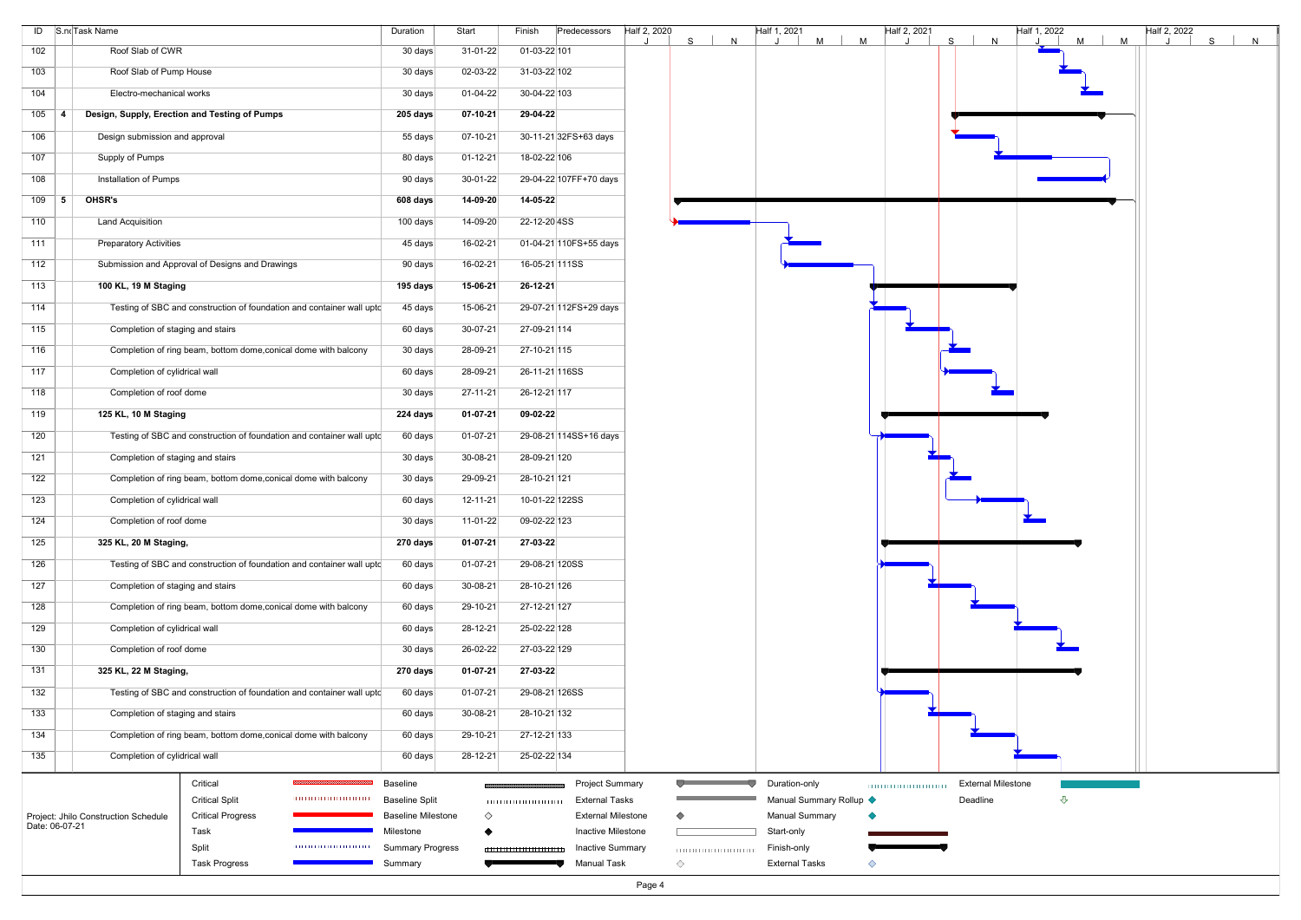|     | ID S.noTask Name                                                                   | Duration                  | Start          | Finish                          | Predecessors              | Half 2, 2020 | S<br>N | Half 1, 2021<br>M       | Half 2, 2021<br>M | S.<br>N                   | Half 1, 2022<br>$M$ | Half 2, 2022<br>M | S<br>$\mathsf{N}$ |
|-----|------------------------------------------------------------------------------------|---------------------------|----------------|---------------------------------|---------------------------|--------------|--------|-------------------------|-------------------|---------------------------|---------------------|-------------------|-------------------|
| 102 | Roof Slab of CWR                                                                   | 30 days                   | $31-01-22$     | 01-03-22 101                    |                           |              |        |                         |                   |                           |                     |                   |                   |
| 103 | Roof Slab of Pump House                                                            | 30 days                   | 02-03-22       | 31-03-22 102                    |                           |              |        |                         |                   |                           |                     |                   |                   |
| 104 | Electro-mechanical works                                                           | 30 days                   | $01 - 04 - 22$ | 30-04-22 103                    |                           |              |        |                         |                   |                           |                     |                   |                   |
| 105 | Design, Supply, Erection and Testing of Pumps                                      | 205 days                  | $07-10-21$     | 29-04-22                        |                           |              |        |                         |                   |                           |                     |                   |                   |
| 106 | Design submission and approval                                                     | 55 days                   | 07-10-21       |                                 | 30-11-21 32FS+63 days     |              |        |                         |                   |                           |                     |                   |                   |
| 107 | Supply of Pumps                                                                    | 80 days                   | $01 - 12 - 21$ | 18-02-22 106                    |                           |              |        |                         |                   |                           |                     |                   |                   |
| 108 | Installation of Pumps                                                              | 90 days                   | 30-01-22       |                                 | 29-04-22 107FF+70 days    |              |        |                         |                   |                           |                     |                   |                   |
| 109 | OHSR's<br>5                                                                        | 608 days                  | 14-09-20       | 14-05-22                        |                           |              |        |                         |                   |                           |                     |                   |                   |
| 110 | <b>Land Acquisition</b>                                                            | 100 days                  | 14-09-20       | 22-12-20 4SS                    |                           |              |        |                         |                   |                           |                     |                   |                   |
| 111 | <b>Preparatory Activities</b>                                                      | 45 days                   | 16-02-21       |                                 | 01-04-21 110FS+55 days    |              |        |                         |                   |                           |                     |                   |                   |
| 112 | Submission and Approval of Designs and Drawings                                    | 90 days                   | 16-02-21       | 16-05-21 111SS                  |                           |              |        |                         |                   |                           |                     |                   |                   |
| 113 | 100 KL, 19 M Staging                                                               | 195 days                  | 15-06-21       | $26 - 12 - 21$                  |                           |              |        |                         |                   |                           |                     |                   |                   |
| 114 | Testing of SBC and construction of foundation and container wall uptc              | 45 days                   | 15-06-21       |                                 | 29-07-21 112FS+29 days    |              |        |                         |                   |                           |                     |                   |                   |
| 115 | Completion of staging and stairs                                                   | 60 days                   | 30-07-21       | 27-09-21 114                    |                           |              |        |                         |                   |                           |                     |                   |                   |
| 116 | Completion of ring beam, bottom dome, conical dome with balcony                    | 30 days                   | 28-09-21       | 27-10-21 115                    |                           |              |        |                         |                   |                           |                     |                   |                   |
| 117 | Completion of cylidrical wall                                                      | 60 days                   | 28-09-21       | 26-11-21 116SS                  |                           |              |        |                         |                   |                           |                     |                   |                   |
| 118 | Completion of roof dome                                                            | 30 days                   | 27-11-21       | 26-12-21 117                    |                           |              |        |                         |                   |                           |                     |                   |                   |
| 119 | 125 KL, 10 M Staging                                                               | 224 days                  | 01-07-21       | 09-02-22                        |                           |              |        |                         |                   |                           |                     |                   |                   |
| 120 | Testing of SBC and construction of foundation and container wall upto              | 60 days                   | 01-07-21       |                                 | 29-08-21 114SS+16 days    |              |        |                         |                   |                           |                     |                   |                   |
| 121 | Completion of staging and stairs                                                   | 30 days                   | 30-08-21       | 28-09-21 120                    |                           |              |        |                         |                   |                           |                     |                   |                   |
| 122 | Completion of ring beam, bottom dome, conical dome with balcony                    | 30 days                   | 29-09-21       | 28-10-21 121                    |                           |              |        |                         |                   |                           |                     |                   |                   |
| 123 | Completion of cylidrical wall                                                      | 60 days                   | 12-11-21       | 10-01-22 122SS                  |                           |              |        |                         |                   |                           |                     |                   |                   |
| 124 | Completion of roof dome                                                            | 30 days                   | 11-01-22       | 09-02-22 123                    |                           |              |        |                         |                   |                           |                     |                   |                   |
| 125 | 325 KL, 20 M Staging,                                                              | 270 days                  | $01 - 07 - 21$ | 27-03-22                        |                           |              |        |                         |                   |                           |                     |                   |                   |
| 126 | Testing of SBC and construction of foundation and container wall upto              | 60 days                   | 01-07-21       | 29-08-21 120SS                  |                           |              |        |                         |                   |                           |                     |                   |                   |
| 127 | Completion of staging and stairs                                                   | 60 days                   | 30-08-21       | 28-10-21 126                    |                           |              |        |                         |                   |                           |                     |                   |                   |
| 128 | Completion of ring beam, bottom dome, conical dome with balcony                    | 60 days                   | 29-10-21       | 27-12-21 127                    |                           |              |        |                         |                   |                           |                     |                   |                   |
| 129 | Completion of cylidrical wall                                                      | 60 days                   | 28-12-21       | 25-02-22 128                    |                           |              |        |                         |                   |                           |                     |                   |                   |
| 130 | Completion of roof dome                                                            | 30 days                   | 26-02-22       | 27-03-22 129                    |                           |              |        |                         |                   |                           |                     |                   |                   |
| 131 | 325 KL, 22 M Staging,                                                              | 270 days                  | $01 - 07 - 21$ | 27-03-22                        |                           |              |        |                         |                   |                           |                     |                   |                   |
| 132 | Testing of SBC and construction of foundation and container wall upto              | 60 days                   | $01-07-21$     | 29-08-21 126SS                  |                           |              |        |                         |                   |                           |                     |                   |                   |
| 133 | Completion of staging and stairs                                                   | 60 days                   | 30-08-21       | 28-10-21 132                    |                           |              |        |                         |                   |                           |                     |                   |                   |
| 134 | Completion of ring beam, bottom dome, conical dome with balcony                    | 60 days                   | 29-10-21       | 27-12-21 133                    |                           |              |        |                         |                   |                           |                     |                   |                   |
| 135 | Completion of cylidrical wall                                                      | 60 days                   | 28-12-21       | 25-02-22 134                    |                           |              |        |                         |                   |                           |                     |                   |                   |
|     | Critical                                                                           | Baseline                  |                |                                 | <b>Project Summary</b>    |              |        | Duration-only           |                   | <b>External Milestone</b> |                     |                   |                   |
|     | <b>Critical Split</b>                                                              | <b>Baseline Split</b>     |                |                                 | <b>External Tasks</b>     |              |        | Manual Summary Rollup < |                   | Deadline                  | $\hat{\mathbf{r}}$  |                   |                   |
|     | Project: Jhilo Construction Schedule<br><b>Critical Progress</b><br>Date: 06-07-21 | <b>Baseline Milestone</b> | $\Diamond$     |                                 | <b>External Milestone</b> |              |        | <b>Manual Summary</b>   |                   |                           |                     |                   |                   |
|     | Task                                                                               | Milestone                 |                |                                 | Inactive Milestone        |              |        | Start-only              |                   |                           |                     |                   |                   |
|     | Split<br>,,,,,,,,,,,,,,,,,,,,,,,,,                                                 | <b>Summary Progress</b>   |                | ------------------------------- | <b>Inactive Summary</b>   |              |        | Finish-only             |                   |                           |                     |                   |                   |
|     | <b>Task Progress</b>                                                               | Summary                   |                |                                 | <b>Manual Task</b>        | ♦            |        | <b>External Tasks</b>   | ◇                 |                           |                     |                   |                   |
|     |                                                                                    |                           |                |                                 |                           | Page 4       |        |                         |                   |                           |                     |                   |                   |

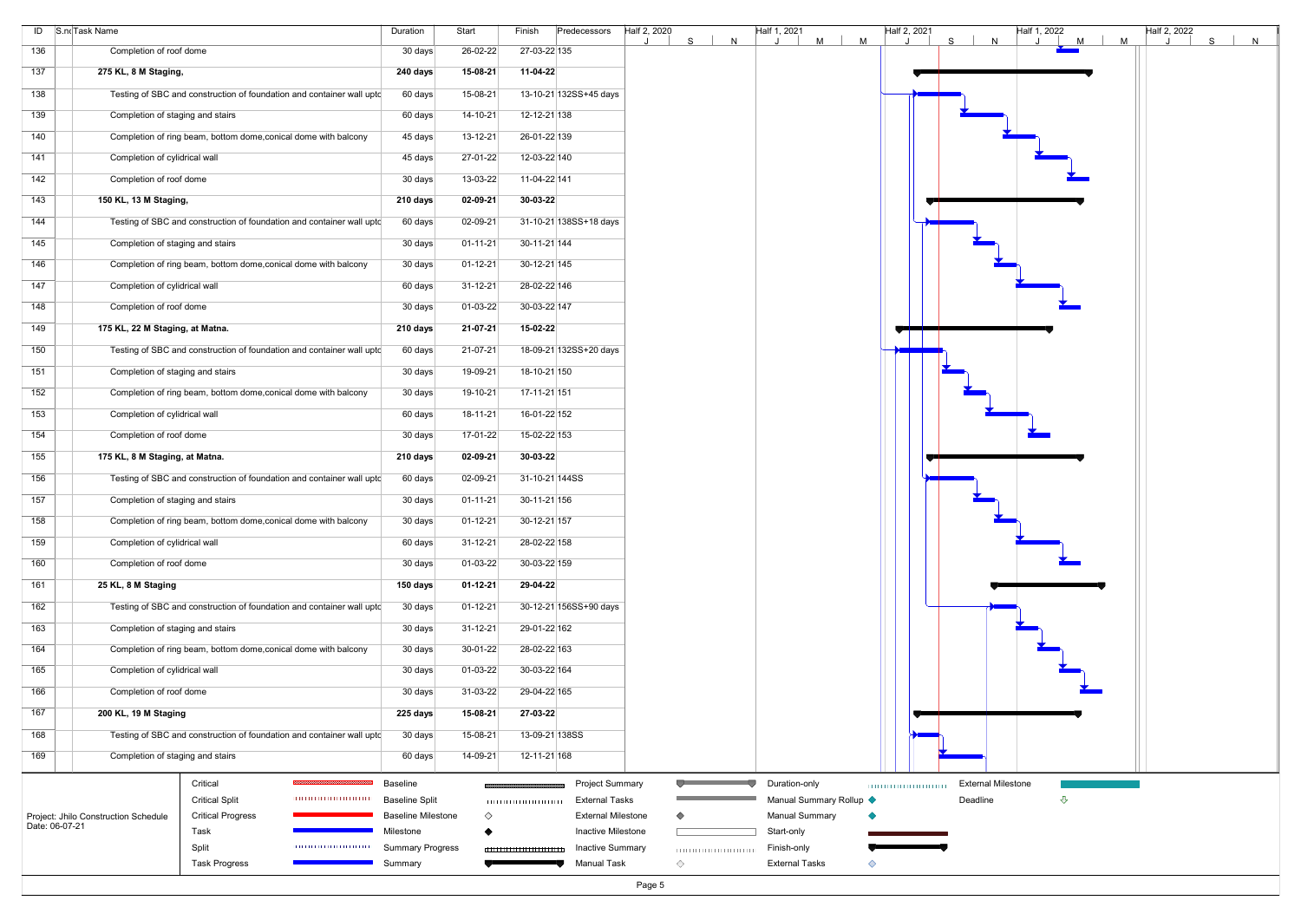|     | ID S.noTask Name                                                                   | Duration                  | Start          | Finish                   | Predecessors              | Half 2, 2020<br>S. | N | Half 1, 2021<br>M       | M | Half 2, 2021 | $s \mid$ | N                         | Half 1, 2022<br>J. | M<br>M | Half 2, 2022 | S<br>N |  |
|-----|------------------------------------------------------------------------------------|---------------------------|----------------|--------------------------|---------------------------|--------------------|---|-------------------------|---|--------------|----------|---------------------------|--------------------|--------|--------------|--------|--|
| 136 | Completion of roof dome                                                            | 30 days                   | 26-02-22       | 27-03-22 135             |                           |                    |   |                         |   |              |          |                           |                    |        |              |        |  |
| 137 | 275 KL, 8 M Staging,                                                               | 240 days                  | 15-08-21       | 11-04-22                 |                           |                    |   |                         |   |              |          |                           |                    |        |              |        |  |
| 138 | Testing of SBC and construction of foundation and container wall uptc              | 60 days                   | 15-08-21       |                          | 13-10-21 132SS+45 days    |                    |   |                         |   |              |          |                           |                    |        |              |        |  |
| 139 | Completion of staging and stairs                                                   | 60 days                   | 14-10-21       | 12-12-21 138             |                           |                    |   |                         |   |              |          |                           |                    |        |              |        |  |
| 140 | Completion of ring beam, bottom dome, conical dome with balcony                    | 45 days                   | 13-12-21       | 26-01-22 139             |                           |                    |   |                         |   |              |          |                           |                    |        |              |        |  |
| 141 | Completion of cylidrical wall                                                      | 45 days                   | 27-01-22       | 12-03-22 140             |                           |                    |   |                         |   |              |          |                           |                    |        |              |        |  |
| 142 | Completion of roof dome                                                            | 30 days                   | 13-03-22       | 11-04-22 141             |                           |                    |   |                         |   |              |          |                           |                    |        |              |        |  |
| 143 | 150 KL, 13 M Staging,                                                              | 210 days                  | $02 - 09 - 21$ | 30-03-22                 |                           |                    |   |                         |   |              |          |                           |                    |        |              |        |  |
| 144 | Testing of SBC and construction of foundation and container wall upto              | 60 days                   | 02-09-21       |                          | 31-10-21 138SS+18 days    |                    |   |                         |   |              |          |                           |                    |        |              |        |  |
| 145 | Completion of staging and stairs                                                   | 30 days                   | $01 - 11 - 21$ | 30-11-21 144             |                           |                    |   |                         |   |              |          |                           |                    |        |              |        |  |
| 146 | Completion of ring beam, bottom dome, conical dome with balcony                    | 30 days                   | 01-12-21       | 30-12-21 145             |                           |                    |   |                         |   |              |          |                           |                    |        |              |        |  |
| 147 | Completion of cylidrical wall                                                      | 60 days                   | $31 - 12 - 21$ | 28-02-22 146             |                           |                    |   |                         |   |              |          |                           |                    |        |              |        |  |
| 148 | Completion of roof dome                                                            | 30 days                   | 01-03-22       | 30-03-22 147             |                           |                    |   |                         |   |              |          |                           |                    |        |              |        |  |
| 149 | 175 KL, 22 M Staging, at Matna.                                                    | 210 days                  | 21-07-21       | 15-02-22                 |                           |                    |   |                         |   |              |          |                           |                    |        |              |        |  |
| 150 | Testing of SBC and construction of foundation and container wall uptc              | 60 days                   | 21-07-21       |                          | 18-09-21 132SS+20 days    |                    |   |                         |   |              |          |                           |                    |        |              |        |  |
| 151 | Completion of staging and stairs                                                   | 30 days                   | 19-09-21       | 18-10-21 150             |                           |                    |   |                         |   |              |          |                           |                    |        |              |        |  |
| 152 | Completion of ring beam, bottom dome, conical dome with balcony                    | 30 days                   | 19-10-21       | 17-11-21 151             |                           |                    |   |                         |   |              |          |                           |                    |        |              |        |  |
| 153 | Completion of cylidrical wall                                                      | 60 days                   | $18 - 11 - 21$ | 16-01-22 152             |                           |                    |   |                         |   |              |          |                           |                    |        |              |        |  |
| 154 | Completion of roof dome                                                            | 30 days                   | 17-01-22       | 15-02-22 153             |                           |                    |   |                         |   |              |          |                           |                    |        |              |        |  |
| 155 | 175 KL, 8 M Staging, at Matna.                                                     | 210 days                  | 02-09-21       | $30-03-22$               |                           |                    |   |                         |   |              |          |                           |                    |        |              |        |  |
| 156 | Testing of SBC and construction of foundation and container wall uptc              | 60 days                   | 02-09-21       | 31-10-21 144SS           |                           |                    |   |                         |   |              |          |                           |                    |        |              |        |  |
| 157 | Completion of staging and stairs                                                   | 30 days                   | $01 - 11 - 21$ | 30-11-21 156             |                           |                    |   |                         |   |              |          |                           |                    |        |              |        |  |
| 158 | Completion of ring beam, bottom dome, conical dome with balcony                    | 30 days                   | 01-12-21       | 30-12-21 157             |                           |                    |   |                         |   |              |          |                           |                    |        |              |        |  |
| 159 | Completion of cylidrical wall                                                      | 60 days                   | $31 - 12 - 21$ | 28-02-22 158             |                           |                    |   |                         |   |              |          |                           |                    |        |              |        |  |
| 160 | Completion of roof dome                                                            | 30 days                   | 01-03-22       | 30-03-22 159             |                           |                    |   |                         |   |              |          |                           |                    |        |              |        |  |
| 161 | 25 KL, 8 M Staging                                                                 | 150 days                  | $01 - 12 - 21$ | 29-04-22                 |                           |                    |   |                         |   |              |          |                           |                    |        |              |        |  |
| 162 | Testing of SBC and construction of foundation and container wall upto              | 30 days                   | 01-12-21       |                          | 30-12-21 156SS+90 days    |                    |   |                         |   |              |          |                           |                    |        |              |        |  |
| 163 | Completion of staging and stairs                                                   | 30 days                   | $31 - 12 - 21$ | 29-01-22 162             |                           |                    |   |                         |   |              |          |                           |                    |        |              |        |  |
| 164 | Completion of ring beam, bottom dome, conical dome with balcony                    | 30 days                   | 30-01-22       | 28-02-22 163             |                           |                    |   |                         |   |              |          |                           |                    |        |              |        |  |
| 165 | Completion of cylidrical wall                                                      | 30 days                   | 01-03-22       | 30-03-22 164             |                           |                    |   |                         |   |              |          |                           |                    |        |              |        |  |
| 166 | Completion of roof dome                                                            | 30 days                   | 31-03-22       | 29-04-22 165             |                           |                    |   |                         |   |              |          |                           |                    |        |              |        |  |
| 167 | 200 KL, 19 M Staging                                                               | 225 days                  | 15-08-21       | 27-03-22                 |                           |                    |   |                         |   |              |          |                           |                    |        |              |        |  |
| 168 | Testing of SBC and construction of foundation and container wall uptc              | 30 days                   | 15-08-21       | 13-09-21 138SS           |                           |                    |   |                         |   |              |          |                           |                    |        |              |        |  |
| 169 | Completion of staging and stairs                                                   | 60 days                   | 14-09-21       | 12-11-21 168             |                           |                    |   |                         |   |              |          |                           |                    |        |              |        |  |
|     | Critical                                                                           | Baseline                  |                |                          | <b>Project Summary</b>    |                    |   | Duration-only           |   |              |          | <b>External Milestone</b> |                    |        |              |        |  |
|     | <b>Critical Split</b>                                                              | <b>Baseline Split</b>     |                |                          | <b>External Tasks</b>     |                    |   | Manual Summary Rollup < |   |              | Deadline |                           | $\triangle$        |        |              |        |  |
|     | Project: Jhilo Construction Schedule<br><b>Critical Progress</b><br>Date: 06-07-21 | <b>Baseline Milestone</b> | $\Diamond$     |                          | <b>External Milestone</b> |                    |   | <b>Manual Summary</b>   |   |              |          |                           |                    |        |              |        |  |
|     | Task                                                                               | Milestone                 |                |                          | Inactive Milestone        |                    |   | Start-only              |   |              |          |                           |                    |        |              |        |  |
|     | Split<br>,,,,,,,,,,,,,,,,,,,,,,,,,                                                 | <b>Summary Progress</b>   |                | 111111111111111111111111 | <b>Inactive Summary</b>   |                    |   | Finish-only             |   |              |          |                           |                    |        |              |        |  |
|     | <b>Task Progress</b>                                                               | Summary                   |                |                          | <b>Manual Task</b>        | ♦                  |   | <b>External Tasks</b>   | ◇ |              |          |                           |                    |        |              |        |  |
|     |                                                                                    |                           |                |                          |                           | Page 5             |   |                         |   |              |          |                           |                    |        |              |        |  |

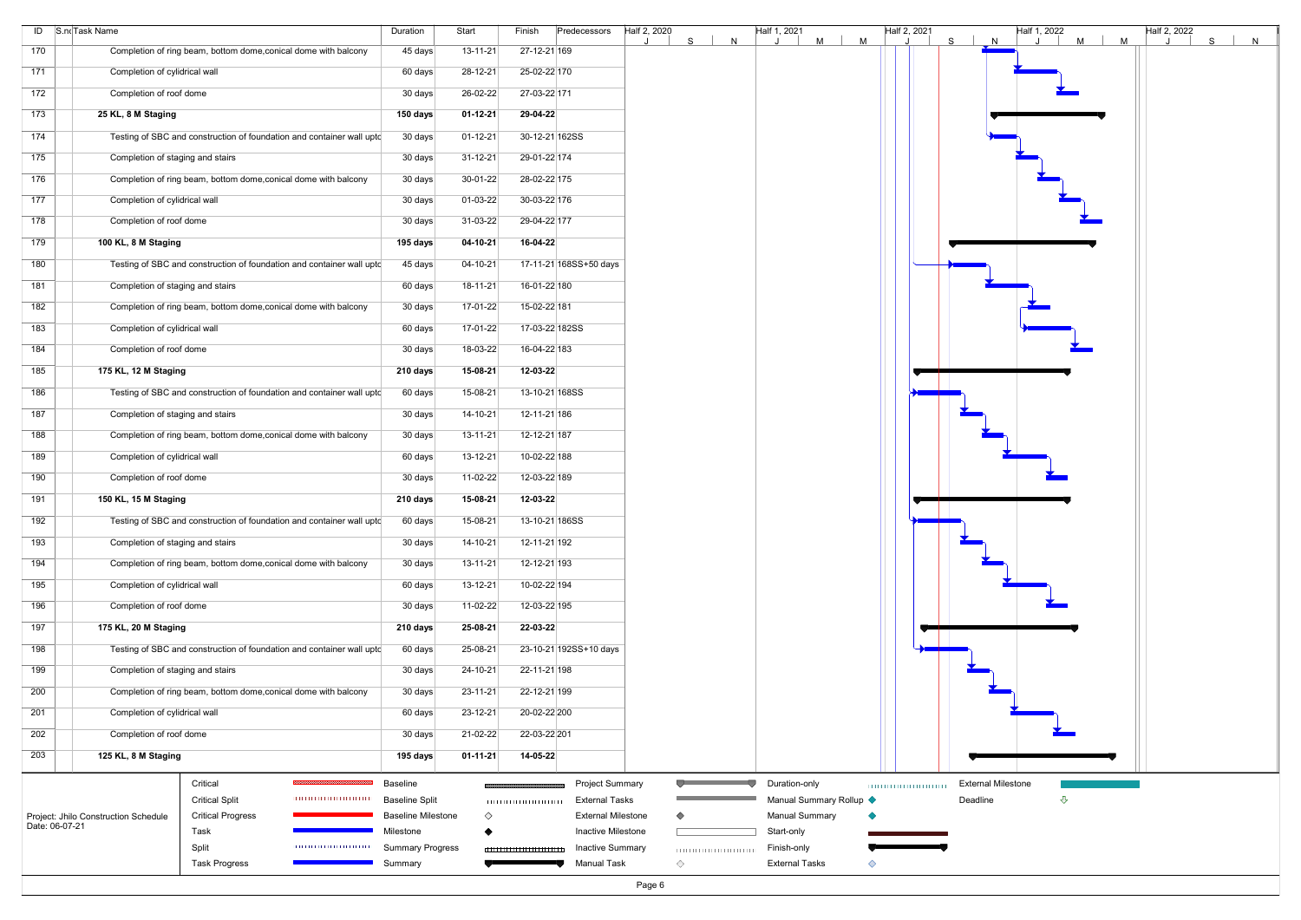|                  | ID S.noTask Name                                                      | Duration                          | Start          | Finish                    | Predecessors                                    | Half 2, 2020<br>S | Half 1, 2021<br>N     | M<br>M                  | Half 2, 2021 | S <br>N                               | Half 1, 2022<br>$M$  <br>$\cdot$ | Half 2, 2022<br>M | S<br>N |
|------------------|-----------------------------------------------------------------------|-----------------------------------|----------------|---------------------------|-------------------------------------------------|-------------------|-----------------------|-------------------------|--------------|---------------------------------------|----------------------------------|-------------------|--------|
| 170              | Completion of ring beam, bottom dome, conical dome with balcony       | 45 days                           | $13 - 11 - 21$ | 27-12-21 169              |                                                 |                   |                       |                         |              |                                       |                                  |                   |        |
| 171              | Completion of cylidrical wall                                         | 60 days                           | 28-12-21       | 25-02-22 170              |                                                 |                   |                       |                         |              |                                       |                                  |                   |        |
| 172              | Completion of roof dome                                               | 30 days                           | 26-02-22       | 27-03-22 171              |                                                 |                   |                       |                         |              |                                       |                                  |                   |        |
| 173              | 25 KL, 8 M Staging                                                    | 150 days                          | 01-12-21       | 29-04-22                  |                                                 |                   |                       |                         |              |                                       |                                  |                   |        |
| 174              | Testing of SBC and construction of foundation and container wall upto | 30 days                           | $01 - 12 - 21$ | 30-12-21 162SS            |                                                 |                   |                       |                         |              |                                       |                                  |                   |        |
| 175              | Completion of staging and stairs                                      | 30 days                           | 31-12-21       | 29-01-22 174              |                                                 |                   |                       |                         |              |                                       |                                  |                   |        |
| 176              | Completion of ring beam, bottom dome, conical dome with balcony       | 30 days                           | 30-01-22       | 28-02-22 175              |                                                 |                   |                       |                         |              |                                       |                                  |                   |        |
| 177              | Completion of cylidrical wall                                         |                                   | 01-03-22       | 30-03-22 176              |                                                 |                   |                       |                         |              |                                       |                                  |                   |        |
|                  |                                                                       | 30 days                           |                |                           |                                                 |                   |                       |                         |              |                                       |                                  |                   |        |
| 178              | Completion of roof dome                                               | 30 days                           | 31-03-22       | 29-04-22 177              |                                                 |                   |                       |                         |              |                                       |                                  |                   |        |
| 179              | 100 KL, 8 M Staging                                                   | 195 days                          | $04-10-21$     | 16-04-22                  |                                                 |                   |                       |                         |              |                                       |                                  |                   |        |
| 180              | Testing of SBC and construction of foundation and container wall upto | 45 days                           | 04-10-21       |                           | 17-11-21 168SS+50 days                          |                   |                       |                         |              |                                       |                                  |                   |        |
| 181              | Completion of staging and stairs                                      | 60 days                           | $18 - 11 - 21$ | 16-01-22 180              |                                                 |                   |                       |                         |              |                                       |                                  |                   |        |
| 182              | Completion of ring beam, bottom dome, conical dome with balcony       | 30 days                           | 17-01-22       | 15-02-22 181              |                                                 |                   |                       |                         |              |                                       |                                  |                   |        |
| $\overline{183}$ | Completion of cylidrical wall                                         | 60 days                           | 17-01-22       | 17-03-22 182SS            |                                                 |                   |                       |                         |              |                                       |                                  |                   |        |
| 184              | Completion of roof dome                                               | 30 days                           | 18-03-22       | 16-04-22 183              |                                                 |                   |                       |                         |              |                                       |                                  |                   |        |
| 185              | 175 KL, 12 M Staging                                                  | 210 days                          | 15-08-21       | 12-03-22                  |                                                 |                   |                       |                         |              |                                       |                                  |                   |        |
| 186              | Testing of SBC and construction of foundation and container wall upto | 60 days                           | 15-08-21       | 13-10-21 168SS            |                                                 |                   |                       |                         |              |                                       |                                  |                   |        |
| 187              | Completion of staging and stairs                                      | 30 days                           | 14-10-21       | 12-11-21 186              |                                                 |                   |                       |                         |              |                                       |                                  |                   |        |
| 188              | Completion of ring beam, bottom dome, conical dome with balcony       | 30 days                           | $13 - 11 - 21$ | 12-12-21 187              |                                                 |                   |                       |                         |              |                                       |                                  |                   |        |
| 189              | Completion of cylidrical wall                                         | 60 days                           | 13-12-21       | 10-02-22 188              |                                                 |                   |                       |                         |              |                                       |                                  |                   |        |
| 190              | Completion of roof dome                                               | 30 days                           | 11-02-22       | 12-03-22 189              |                                                 |                   |                       |                         |              |                                       |                                  |                   |        |
| 191              | 150 KL, 15 M Staging                                                  | 210 days                          | 15-08-21       | 12-03-22                  |                                                 |                   |                       |                         |              |                                       |                                  |                   |        |
|                  |                                                                       |                                   |                |                           |                                                 |                   |                       |                         |              |                                       |                                  |                   |        |
| 192              | Testing of SBC and construction of foundation and container wall uptc | 60 days                           | 15-08-21       | 13-10-21 186SS            |                                                 |                   |                       |                         |              |                                       |                                  |                   |        |
| 193              | Completion of staging and stairs                                      | 30 days                           | $14 - 10 - 21$ | 12-11-21 192              |                                                 |                   |                       |                         |              |                                       |                                  |                   |        |
| 194              | Completion of ring beam, bottom dome, conical dome with balcony       | 30 days                           | $13 - 11 - 21$ | 12-12-21 193              |                                                 |                   |                       |                         |              |                                       |                                  |                   |        |
| 195              | Completion of cylidrical wall                                         | 60 days                           | 13-12-21       | 10-02-22 194              |                                                 |                   |                       |                         |              |                                       |                                  |                   |        |
| 196              | Completion of roof dome                                               | 30 days                           | 11-02-22       | 12-03-22 195              |                                                 |                   |                       |                         |              |                                       |                                  |                   |        |
| 197              | 175 KL, 20 M Staging                                                  | 210 days                          | 25-08-21       | 22-03-22                  |                                                 |                   |                       |                         |              |                                       |                                  |                   |        |
| 198              | Testing of SBC and construction of foundation and container wall upto | 60 days                           | 25-08-21       |                           | 23-10-21 192SS+10 days                          |                   |                       |                         |              |                                       |                                  |                   |        |
| 199              | Completion of staging and stairs                                      | 30 days                           | 24-10-21       | 22-11-21 198              |                                                 |                   |                       |                         |              |                                       |                                  |                   |        |
| 200              | Completion of ring beam, bottom dome, conical dome with balcony       | 30 days                           | 23-11-21       | 22-12-21 199              |                                                 |                   |                       |                         |              |                                       |                                  |                   |        |
| 201              | Completion of cylidrical wall                                         | 60 days                           | $23 - 12 - 21$ | 20-02-22 200              |                                                 |                   |                       |                         |              |                                       |                                  |                   |        |
| 202              | Completion of roof dome                                               | 30 days                           | 21-02-22       | 22-03-22 201              |                                                 |                   |                       |                         |              |                                       |                                  |                   |        |
| 203              | 125 KL, 8 M Staging                                                   | 195 days                          | $01 - 11 - 21$ | 14-05-22                  |                                                 |                   |                       |                         |              |                                       |                                  |                   |        |
|                  |                                                                       |                                   |                |                           |                                                 |                   |                       |                         |              |                                       |                                  |                   |        |
|                  | Critical<br><b>Critical Split</b>                                     | Baseline<br><b>Baseline Split</b> |                |                           | <b>Project Summary</b><br><b>External Tasks</b> |                   | Duration-only         | Manual Summary Rollup < |              | <b>External Milestone</b><br>Deadline | ⇩                                |                   |        |
|                  | Project: Jhilo Construction Schedule<br><b>Critical Progress</b>      | <b>Baseline Milestone</b>         | $\Diamond$     |                           | <b>External Milestone</b>                       | ◇                 | <b>Manual Summary</b> |                         |              |                                       |                                  |                   |        |
| Date: 06-07-21   | Task                                                                  | Milestone                         |                |                           | Inactive Milestone                              |                   | Start-only            |                         |              |                                       |                                  |                   |        |
|                  | 0000000000000000                                                      |                                   |                |                           |                                                 |                   |                       |                         |              |                                       |                                  |                   |        |
|                  | Split                                                                 | <b>Summary Progress</b>           |                | ,,,,,,,,,,,,,,,,,,,,,,,,, | <b>Inactive Summary</b>                         | 10000000000000000 | Finish-only           |                         |              |                                       |                                  |                   |        |
|                  | <b>Task Progress</b>                                                  | Summary                           |                |                           | <b>Manual Task</b>                              | ◇                 | <b>External Tasks</b> | ◇                       |              |                                       |                                  |                   |        |
|                  |                                                                       |                                   |                |                           |                                                 | Page 6            |                       |                         |              |                                       |                                  |                   |        |

![](_page_5_Figure_1.jpeg)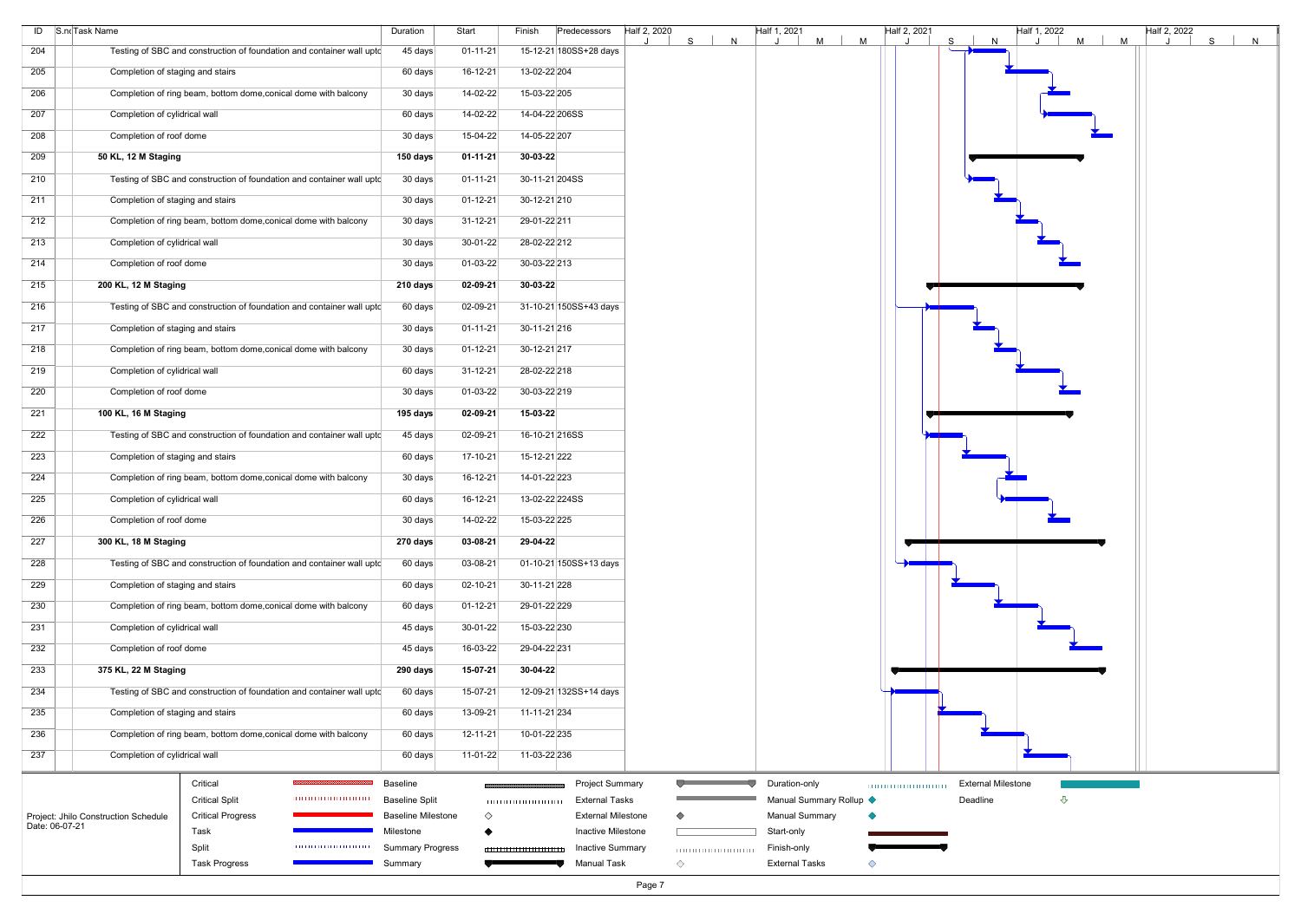| 15-12-21 180SS+28 days<br>Testing of SBC and construction of foundation and container wall upto<br>45 days<br>$01 - 11 - 21$<br>Completion of staging and stairs<br>16-12-21<br>13-02-22 204<br>60 days<br>14-02-22<br>15-03-22 205<br>Completion of ring beam, bottom dome, conical dome with balcony<br>30 days<br>14-02-22<br>14-04-22 206SS<br>Completion of cylidrical wall<br>60 days<br>15-04-22<br>Completion of roof dome<br>30 days<br>14-05-22 207<br>30-03-22<br>50 KL, 12 M Staging<br>150 days<br>$01 - 11 - 21$<br>Testing of SBC and construction of foundation and container wall upto<br>30 days<br>$01 - 11 - 21$<br>30-11-21 204SS<br>Completion of staging and stairs<br>$01 - 12 - 21$<br>30 days<br>30-12-21 210<br>Completion of ring beam, bottom dome, conical dome with balcony<br>30 days<br>$31 - 12 - 21$<br>29-01-22 211<br>28-02-22 212<br>Completion of cylidrical wall<br>30 days<br>30-01-22<br>Completion of roof dome<br>01-03-22<br>30-03-22 213<br>30 days<br>$02 - 09 - 21$<br>30-03-22<br>200 KL, 12 M Staging<br>210 days<br>Testing of SBC and construction of foundation and container wall upto<br>02-09-21<br>31-10-21 150SS+43 days<br>60 days<br>Completion of staging and stairs<br>30 days<br>$01 - 11 - 21$<br>30-11-21 216<br>Completion of ring beam, bottom dome, conical dome with balcony<br>$01 - 12 - 21$<br>30 days<br>30-12-21 217<br>Completion of cylidrical wall<br>60 days<br>$31 - 12 - 21$<br>28-02-22 218<br>01-03-22<br>30-03-22 219<br>Completion of roof dome<br>30 days<br>100 KL, 16 M Staging<br>195 days<br>02-09-21<br>15-03-22<br>Testing of SBC and construction of foundation and container wall uptc<br>02-09-21<br>45 days<br>16-10-21 216SS<br>Completion of staging and stairs<br>$17 - 10 - 21$<br>15-12-21 222<br>60 days<br>Completion of ring beam, bottom dome, conical dome with balcony<br>$16-12-21$<br>30 days<br>14-01-22 223<br>16-12-21<br>Completion of cylidrical wall<br>60 days<br>13-02-22 224SS<br>14-02-22<br>Completion of roof dome<br>30 days<br>15-03-22 225<br>03-08-21<br>29-04-22<br>300 KL, 18 M Staging<br>270 days<br>Testing of SBC and construction of foundation and container wall upto<br>60 days<br>03-08-21<br>01-10-21 150SS+13 days<br>Completion of staging and stairs<br>60 days<br>$02 - 10 - 21$<br>30-11-21 228<br>Completion of ring beam, bottom dome, conical dome with balcony<br>60 days<br>$01 - 12 - 21$<br>29-01-22 229<br>30-01-22<br>Completion of cylidrical wall<br>45 days<br>15-03-22 230<br>16-03-22<br>29-04-22 231<br>Completion of roof dome<br>45 days<br>375 KL, 22 M Staging<br>15-07-21<br>30-04-22<br>290 days<br>Testing of SBC and construction of foundation and container wall upto<br>$15-07-21$<br>12-09-21 132SS+14 days<br>60 days<br>Completion of staging and stairs<br>13-09-21<br>60 days<br>11-11-21 234<br>Completion of ring beam, bottom dome, conical dome with balcony<br>$12 - 11 - 21$<br>10-01-22 235<br>60 days<br>Completion of cylidrical wall<br>60 days<br>$11-01-22$<br>11-03-22 236<br>Critical<br>Baseline<br><b>Project Summary</b><br>Duration-only<br><b>External Milestone</b><br><b>Critical Split</b><br><b>External Tasks</b><br>Manual Summary Rollup ♦<br>Deadline<br>⇩<br><b>Baseline Split</b><br>Project: Jhilo Construction Schedule<br><b>Critical Progress</b><br><b>Baseline Milestone</b><br>$\Diamond$<br><b>External Milestone</b><br><b>Manual Summary</b><br><b>Inactive Milestone</b><br>Task<br>Start-only<br>Milestone<br>Split<br>101010101010101010101<br><b>Summary Progress</b><br><b>Inactive Summary</b><br>Finish-only<br>000000000000000000<br><b>Manual Task</b><br>◇<br><b>External Tasks</b><br><b>Task Progress</b><br>Summary<br>◇ | ID S.noTask Name | Duration | Start | Finish<br>Predecessors | Half 2, 2020<br>S.<br>N | Half 1, 2021<br>M<br>M | Half 2, 2021 | S.<br>N | Half 1, 2022<br>$M$  <br>M | Half 2, 2022<br>S | N |
|----------------------------------------------------------------------------------------------------------------------------------------------------------------------------------------------------------------------------------------------------------------------------------------------------------------------------------------------------------------------------------------------------------------------------------------------------------------------------------------------------------------------------------------------------------------------------------------------------------------------------------------------------------------------------------------------------------------------------------------------------------------------------------------------------------------------------------------------------------------------------------------------------------------------------------------------------------------------------------------------------------------------------------------------------------------------------------------------------------------------------------------------------------------------------------------------------------------------------------------------------------------------------------------------------------------------------------------------------------------------------------------------------------------------------------------------------------------------------------------------------------------------------------------------------------------------------------------------------------------------------------------------------------------------------------------------------------------------------------------------------------------------------------------------------------------------------------------------------------------------------------------------------------------------------------------------------------------------------------------------------------------------------------------------------------------------------------------------------------------------------------------------------------------------------------------------------------------------------------------------------------------------------------------------------------------------------------------------------------------------------------------------------------------------------------------------------------------------------------------------------------------------------------------------------------------------------------------------------------------------------------------------------------------------------------------------------------------------------------------------------------------------------------------------------------------------------------------------------------------------------------------------------------------------------------------------------------------------------------------------------------------------------------------------------------------------------------------------------------------------------------------------------------------------------------------------------------------------------------------------------------------------------------------------------------------------------------------------------------------------------------------------------------------------------------------------------------------------------------------------------------------------------------------------------------------------------------------------------------------------------------------------------------------------------------------------------------------------------------------------------------|------------------|----------|-------|------------------------|-------------------------|------------------------|--------------|---------|----------------------------|-------------------|---|
|                                                                                                                                                                                                                                                                                                                                                                                                                                                                                                                                                                                                                                                                                                                                                                                                                                                                                                                                                                                                                                                                                                                                                                                                                                                                                                                                                                                                                                                                                                                                                                                                                                                                                                                                                                                                                                                                                                                                                                                                                                                                                                                                                                                                                                                                                                                                                                                                                                                                                                                                                                                                                                                                                                                                                                                                                                                                                                                                                                                                                                                                                                                                                                                                                                                                                                                                                                                                                                                                                                                                                                                                                                                                                                                                                          | 204              |          |       |                        |                         |                        |              |         |                            |                   |   |
|                                                                                                                                                                                                                                                                                                                                                                                                                                                                                                                                                                                                                                                                                                                                                                                                                                                                                                                                                                                                                                                                                                                                                                                                                                                                                                                                                                                                                                                                                                                                                                                                                                                                                                                                                                                                                                                                                                                                                                                                                                                                                                                                                                                                                                                                                                                                                                                                                                                                                                                                                                                                                                                                                                                                                                                                                                                                                                                                                                                                                                                                                                                                                                                                                                                                                                                                                                                                                                                                                                                                                                                                                                                                                                                                                          | 205              |          |       |                        |                         |                        |              |         |                            |                   |   |
|                                                                                                                                                                                                                                                                                                                                                                                                                                                                                                                                                                                                                                                                                                                                                                                                                                                                                                                                                                                                                                                                                                                                                                                                                                                                                                                                                                                                                                                                                                                                                                                                                                                                                                                                                                                                                                                                                                                                                                                                                                                                                                                                                                                                                                                                                                                                                                                                                                                                                                                                                                                                                                                                                                                                                                                                                                                                                                                                                                                                                                                                                                                                                                                                                                                                                                                                                                                                                                                                                                                                                                                                                                                                                                                                                          | 206              |          |       |                        |                         |                        |              |         |                            |                   |   |
|                                                                                                                                                                                                                                                                                                                                                                                                                                                                                                                                                                                                                                                                                                                                                                                                                                                                                                                                                                                                                                                                                                                                                                                                                                                                                                                                                                                                                                                                                                                                                                                                                                                                                                                                                                                                                                                                                                                                                                                                                                                                                                                                                                                                                                                                                                                                                                                                                                                                                                                                                                                                                                                                                                                                                                                                                                                                                                                                                                                                                                                                                                                                                                                                                                                                                                                                                                                                                                                                                                                                                                                                                                                                                                                                                          | 207              |          |       |                        |                         |                        |              |         |                            |                   |   |
|                                                                                                                                                                                                                                                                                                                                                                                                                                                                                                                                                                                                                                                                                                                                                                                                                                                                                                                                                                                                                                                                                                                                                                                                                                                                                                                                                                                                                                                                                                                                                                                                                                                                                                                                                                                                                                                                                                                                                                                                                                                                                                                                                                                                                                                                                                                                                                                                                                                                                                                                                                                                                                                                                                                                                                                                                                                                                                                                                                                                                                                                                                                                                                                                                                                                                                                                                                                                                                                                                                                                                                                                                                                                                                                                                          | 208              |          |       |                        |                         |                        |              |         |                            |                   |   |
|                                                                                                                                                                                                                                                                                                                                                                                                                                                                                                                                                                                                                                                                                                                                                                                                                                                                                                                                                                                                                                                                                                                                                                                                                                                                                                                                                                                                                                                                                                                                                                                                                                                                                                                                                                                                                                                                                                                                                                                                                                                                                                                                                                                                                                                                                                                                                                                                                                                                                                                                                                                                                                                                                                                                                                                                                                                                                                                                                                                                                                                                                                                                                                                                                                                                                                                                                                                                                                                                                                                                                                                                                                                                                                                                                          | 209              |          |       |                        |                         |                        |              |         |                            |                   |   |
|                                                                                                                                                                                                                                                                                                                                                                                                                                                                                                                                                                                                                                                                                                                                                                                                                                                                                                                                                                                                                                                                                                                                                                                                                                                                                                                                                                                                                                                                                                                                                                                                                                                                                                                                                                                                                                                                                                                                                                                                                                                                                                                                                                                                                                                                                                                                                                                                                                                                                                                                                                                                                                                                                                                                                                                                                                                                                                                                                                                                                                                                                                                                                                                                                                                                                                                                                                                                                                                                                                                                                                                                                                                                                                                                                          | 210              |          |       |                        |                         |                        |              |         |                            |                   |   |
|                                                                                                                                                                                                                                                                                                                                                                                                                                                                                                                                                                                                                                                                                                                                                                                                                                                                                                                                                                                                                                                                                                                                                                                                                                                                                                                                                                                                                                                                                                                                                                                                                                                                                                                                                                                                                                                                                                                                                                                                                                                                                                                                                                                                                                                                                                                                                                                                                                                                                                                                                                                                                                                                                                                                                                                                                                                                                                                                                                                                                                                                                                                                                                                                                                                                                                                                                                                                                                                                                                                                                                                                                                                                                                                                                          | 211              |          |       |                        |                         |                        |              |         |                            |                   |   |
|                                                                                                                                                                                                                                                                                                                                                                                                                                                                                                                                                                                                                                                                                                                                                                                                                                                                                                                                                                                                                                                                                                                                                                                                                                                                                                                                                                                                                                                                                                                                                                                                                                                                                                                                                                                                                                                                                                                                                                                                                                                                                                                                                                                                                                                                                                                                                                                                                                                                                                                                                                                                                                                                                                                                                                                                                                                                                                                                                                                                                                                                                                                                                                                                                                                                                                                                                                                                                                                                                                                                                                                                                                                                                                                                                          | 212              |          |       |                        |                         |                        |              |         |                            |                   |   |
|                                                                                                                                                                                                                                                                                                                                                                                                                                                                                                                                                                                                                                                                                                                                                                                                                                                                                                                                                                                                                                                                                                                                                                                                                                                                                                                                                                                                                                                                                                                                                                                                                                                                                                                                                                                                                                                                                                                                                                                                                                                                                                                                                                                                                                                                                                                                                                                                                                                                                                                                                                                                                                                                                                                                                                                                                                                                                                                                                                                                                                                                                                                                                                                                                                                                                                                                                                                                                                                                                                                                                                                                                                                                                                                                                          | 213              |          |       |                        |                         |                        |              |         |                            |                   |   |
|                                                                                                                                                                                                                                                                                                                                                                                                                                                                                                                                                                                                                                                                                                                                                                                                                                                                                                                                                                                                                                                                                                                                                                                                                                                                                                                                                                                                                                                                                                                                                                                                                                                                                                                                                                                                                                                                                                                                                                                                                                                                                                                                                                                                                                                                                                                                                                                                                                                                                                                                                                                                                                                                                                                                                                                                                                                                                                                                                                                                                                                                                                                                                                                                                                                                                                                                                                                                                                                                                                                                                                                                                                                                                                                                                          | 214              |          |       |                        |                         |                        |              |         |                            |                   |   |
|                                                                                                                                                                                                                                                                                                                                                                                                                                                                                                                                                                                                                                                                                                                                                                                                                                                                                                                                                                                                                                                                                                                                                                                                                                                                                                                                                                                                                                                                                                                                                                                                                                                                                                                                                                                                                                                                                                                                                                                                                                                                                                                                                                                                                                                                                                                                                                                                                                                                                                                                                                                                                                                                                                                                                                                                                                                                                                                                                                                                                                                                                                                                                                                                                                                                                                                                                                                                                                                                                                                                                                                                                                                                                                                                                          | 215              |          |       |                        |                         |                        |              |         |                            |                   |   |
|                                                                                                                                                                                                                                                                                                                                                                                                                                                                                                                                                                                                                                                                                                                                                                                                                                                                                                                                                                                                                                                                                                                                                                                                                                                                                                                                                                                                                                                                                                                                                                                                                                                                                                                                                                                                                                                                                                                                                                                                                                                                                                                                                                                                                                                                                                                                                                                                                                                                                                                                                                                                                                                                                                                                                                                                                                                                                                                                                                                                                                                                                                                                                                                                                                                                                                                                                                                                                                                                                                                                                                                                                                                                                                                                                          | 216              |          |       |                        |                         |                        |              |         |                            |                   |   |
|                                                                                                                                                                                                                                                                                                                                                                                                                                                                                                                                                                                                                                                                                                                                                                                                                                                                                                                                                                                                                                                                                                                                                                                                                                                                                                                                                                                                                                                                                                                                                                                                                                                                                                                                                                                                                                                                                                                                                                                                                                                                                                                                                                                                                                                                                                                                                                                                                                                                                                                                                                                                                                                                                                                                                                                                                                                                                                                                                                                                                                                                                                                                                                                                                                                                                                                                                                                                                                                                                                                                                                                                                                                                                                                                                          | 217              |          |       |                        |                         |                        |              |         |                            |                   |   |
|                                                                                                                                                                                                                                                                                                                                                                                                                                                                                                                                                                                                                                                                                                                                                                                                                                                                                                                                                                                                                                                                                                                                                                                                                                                                                                                                                                                                                                                                                                                                                                                                                                                                                                                                                                                                                                                                                                                                                                                                                                                                                                                                                                                                                                                                                                                                                                                                                                                                                                                                                                                                                                                                                                                                                                                                                                                                                                                                                                                                                                                                                                                                                                                                                                                                                                                                                                                                                                                                                                                                                                                                                                                                                                                                                          | 218              |          |       |                        |                         |                        |              |         |                            |                   |   |
|                                                                                                                                                                                                                                                                                                                                                                                                                                                                                                                                                                                                                                                                                                                                                                                                                                                                                                                                                                                                                                                                                                                                                                                                                                                                                                                                                                                                                                                                                                                                                                                                                                                                                                                                                                                                                                                                                                                                                                                                                                                                                                                                                                                                                                                                                                                                                                                                                                                                                                                                                                                                                                                                                                                                                                                                                                                                                                                                                                                                                                                                                                                                                                                                                                                                                                                                                                                                                                                                                                                                                                                                                                                                                                                                                          | 219              |          |       |                        |                         |                        |              |         |                            |                   |   |
|                                                                                                                                                                                                                                                                                                                                                                                                                                                                                                                                                                                                                                                                                                                                                                                                                                                                                                                                                                                                                                                                                                                                                                                                                                                                                                                                                                                                                                                                                                                                                                                                                                                                                                                                                                                                                                                                                                                                                                                                                                                                                                                                                                                                                                                                                                                                                                                                                                                                                                                                                                                                                                                                                                                                                                                                                                                                                                                                                                                                                                                                                                                                                                                                                                                                                                                                                                                                                                                                                                                                                                                                                                                                                                                                                          | 220              |          |       |                        |                         |                        |              |         |                            |                   |   |
|                                                                                                                                                                                                                                                                                                                                                                                                                                                                                                                                                                                                                                                                                                                                                                                                                                                                                                                                                                                                                                                                                                                                                                                                                                                                                                                                                                                                                                                                                                                                                                                                                                                                                                                                                                                                                                                                                                                                                                                                                                                                                                                                                                                                                                                                                                                                                                                                                                                                                                                                                                                                                                                                                                                                                                                                                                                                                                                                                                                                                                                                                                                                                                                                                                                                                                                                                                                                                                                                                                                                                                                                                                                                                                                                                          | 221              |          |       |                        |                         |                        |              |         |                            |                   |   |
|                                                                                                                                                                                                                                                                                                                                                                                                                                                                                                                                                                                                                                                                                                                                                                                                                                                                                                                                                                                                                                                                                                                                                                                                                                                                                                                                                                                                                                                                                                                                                                                                                                                                                                                                                                                                                                                                                                                                                                                                                                                                                                                                                                                                                                                                                                                                                                                                                                                                                                                                                                                                                                                                                                                                                                                                                                                                                                                                                                                                                                                                                                                                                                                                                                                                                                                                                                                                                                                                                                                                                                                                                                                                                                                                                          | 222              |          |       |                        |                         |                        |              |         |                            |                   |   |
|                                                                                                                                                                                                                                                                                                                                                                                                                                                                                                                                                                                                                                                                                                                                                                                                                                                                                                                                                                                                                                                                                                                                                                                                                                                                                                                                                                                                                                                                                                                                                                                                                                                                                                                                                                                                                                                                                                                                                                                                                                                                                                                                                                                                                                                                                                                                                                                                                                                                                                                                                                                                                                                                                                                                                                                                                                                                                                                                                                                                                                                                                                                                                                                                                                                                                                                                                                                                                                                                                                                                                                                                                                                                                                                                                          | 223              |          |       |                        |                         |                        |              |         |                            |                   |   |
|                                                                                                                                                                                                                                                                                                                                                                                                                                                                                                                                                                                                                                                                                                                                                                                                                                                                                                                                                                                                                                                                                                                                                                                                                                                                                                                                                                                                                                                                                                                                                                                                                                                                                                                                                                                                                                                                                                                                                                                                                                                                                                                                                                                                                                                                                                                                                                                                                                                                                                                                                                                                                                                                                                                                                                                                                                                                                                                                                                                                                                                                                                                                                                                                                                                                                                                                                                                                                                                                                                                                                                                                                                                                                                                                                          | 224              |          |       |                        |                         |                        |              |         |                            |                   |   |
|                                                                                                                                                                                                                                                                                                                                                                                                                                                                                                                                                                                                                                                                                                                                                                                                                                                                                                                                                                                                                                                                                                                                                                                                                                                                                                                                                                                                                                                                                                                                                                                                                                                                                                                                                                                                                                                                                                                                                                                                                                                                                                                                                                                                                                                                                                                                                                                                                                                                                                                                                                                                                                                                                                                                                                                                                                                                                                                                                                                                                                                                                                                                                                                                                                                                                                                                                                                                                                                                                                                                                                                                                                                                                                                                                          | 225              |          |       |                        |                         |                        |              |         |                            |                   |   |
|                                                                                                                                                                                                                                                                                                                                                                                                                                                                                                                                                                                                                                                                                                                                                                                                                                                                                                                                                                                                                                                                                                                                                                                                                                                                                                                                                                                                                                                                                                                                                                                                                                                                                                                                                                                                                                                                                                                                                                                                                                                                                                                                                                                                                                                                                                                                                                                                                                                                                                                                                                                                                                                                                                                                                                                                                                                                                                                                                                                                                                                                                                                                                                                                                                                                                                                                                                                                                                                                                                                                                                                                                                                                                                                                                          | 226              |          |       |                        |                         |                        |              |         |                            |                   |   |
|                                                                                                                                                                                                                                                                                                                                                                                                                                                                                                                                                                                                                                                                                                                                                                                                                                                                                                                                                                                                                                                                                                                                                                                                                                                                                                                                                                                                                                                                                                                                                                                                                                                                                                                                                                                                                                                                                                                                                                                                                                                                                                                                                                                                                                                                                                                                                                                                                                                                                                                                                                                                                                                                                                                                                                                                                                                                                                                                                                                                                                                                                                                                                                                                                                                                                                                                                                                                                                                                                                                                                                                                                                                                                                                                                          | 227              |          |       |                        |                         |                        |              |         |                            |                   |   |
|                                                                                                                                                                                                                                                                                                                                                                                                                                                                                                                                                                                                                                                                                                                                                                                                                                                                                                                                                                                                                                                                                                                                                                                                                                                                                                                                                                                                                                                                                                                                                                                                                                                                                                                                                                                                                                                                                                                                                                                                                                                                                                                                                                                                                                                                                                                                                                                                                                                                                                                                                                                                                                                                                                                                                                                                                                                                                                                                                                                                                                                                                                                                                                                                                                                                                                                                                                                                                                                                                                                                                                                                                                                                                                                                                          | 228              |          |       |                        |                         |                        |              |         |                            |                   |   |
|                                                                                                                                                                                                                                                                                                                                                                                                                                                                                                                                                                                                                                                                                                                                                                                                                                                                                                                                                                                                                                                                                                                                                                                                                                                                                                                                                                                                                                                                                                                                                                                                                                                                                                                                                                                                                                                                                                                                                                                                                                                                                                                                                                                                                                                                                                                                                                                                                                                                                                                                                                                                                                                                                                                                                                                                                                                                                                                                                                                                                                                                                                                                                                                                                                                                                                                                                                                                                                                                                                                                                                                                                                                                                                                                                          | 229              |          |       |                        |                         |                        |              |         |                            |                   |   |
|                                                                                                                                                                                                                                                                                                                                                                                                                                                                                                                                                                                                                                                                                                                                                                                                                                                                                                                                                                                                                                                                                                                                                                                                                                                                                                                                                                                                                                                                                                                                                                                                                                                                                                                                                                                                                                                                                                                                                                                                                                                                                                                                                                                                                                                                                                                                                                                                                                                                                                                                                                                                                                                                                                                                                                                                                                                                                                                                                                                                                                                                                                                                                                                                                                                                                                                                                                                                                                                                                                                                                                                                                                                                                                                                                          | 230              |          |       |                        |                         |                        |              |         |                            |                   |   |
|                                                                                                                                                                                                                                                                                                                                                                                                                                                                                                                                                                                                                                                                                                                                                                                                                                                                                                                                                                                                                                                                                                                                                                                                                                                                                                                                                                                                                                                                                                                                                                                                                                                                                                                                                                                                                                                                                                                                                                                                                                                                                                                                                                                                                                                                                                                                                                                                                                                                                                                                                                                                                                                                                                                                                                                                                                                                                                                                                                                                                                                                                                                                                                                                                                                                                                                                                                                                                                                                                                                                                                                                                                                                                                                                                          | 231              |          |       |                        |                         |                        |              |         |                            |                   |   |
|                                                                                                                                                                                                                                                                                                                                                                                                                                                                                                                                                                                                                                                                                                                                                                                                                                                                                                                                                                                                                                                                                                                                                                                                                                                                                                                                                                                                                                                                                                                                                                                                                                                                                                                                                                                                                                                                                                                                                                                                                                                                                                                                                                                                                                                                                                                                                                                                                                                                                                                                                                                                                                                                                                                                                                                                                                                                                                                                                                                                                                                                                                                                                                                                                                                                                                                                                                                                                                                                                                                                                                                                                                                                                                                                                          | 232              |          |       |                        |                         |                        |              |         |                            |                   |   |
|                                                                                                                                                                                                                                                                                                                                                                                                                                                                                                                                                                                                                                                                                                                                                                                                                                                                                                                                                                                                                                                                                                                                                                                                                                                                                                                                                                                                                                                                                                                                                                                                                                                                                                                                                                                                                                                                                                                                                                                                                                                                                                                                                                                                                                                                                                                                                                                                                                                                                                                                                                                                                                                                                                                                                                                                                                                                                                                                                                                                                                                                                                                                                                                                                                                                                                                                                                                                                                                                                                                                                                                                                                                                                                                                                          | 233              |          |       |                        |                         |                        |              |         |                            |                   |   |
|                                                                                                                                                                                                                                                                                                                                                                                                                                                                                                                                                                                                                                                                                                                                                                                                                                                                                                                                                                                                                                                                                                                                                                                                                                                                                                                                                                                                                                                                                                                                                                                                                                                                                                                                                                                                                                                                                                                                                                                                                                                                                                                                                                                                                                                                                                                                                                                                                                                                                                                                                                                                                                                                                                                                                                                                                                                                                                                                                                                                                                                                                                                                                                                                                                                                                                                                                                                                                                                                                                                                                                                                                                                                                                                                                          | 234              |          |       |                        |                         |                        |              |         |                            |                   |   |
|                                                                                                                                                                                                                                                                                                                                                                                                                                                                                                                                                                                                                                                                                                                                                                                                                                                                                                                                                                                                                                                                                                                                                                                                                                                                                                                                                                                                                                                                                                                                                                                                                                                                                                                                                                                                                                                                                                                                                                                                                                                                                                                                                                                                                                                                                                                                                                                                                                                                                                                                                                                                                                                                                                                                                                                                                                                                                                                                                                                                                                                                                                                                                                                                                                                                                                                                                                                                                                                                                                                                                                                                                                                                                                                                                          | 235              |          |       |                        |                         |                        |              |         |                            |                   |   |
|                                                                                                                                                                                                                                                                                                                                                                                                                                                                                                                                                                                                                                                                                                                                                                                                                                                                                                                                                                                                                                                                                                                                                                                                                                                                                                                                                                                                                                                                                                                                                                                                                                                                                                                                                                                                                                                                                                                                                                                                                                                                                                                                                                                                                                                                                                                                                                                                                                                                                                                                                                                                                                                                                                                                                                                                                                                                                                                                                                                                                                                                                                                                                                                                                                                                                                                                                                                                                                                                                                                                                                                                                                                                                                                                                          | 236              |          |       |                        |                         |                        |              |         |                            |                   |   |
|                                                                                                                                                                                                                                                                                                                                                                                                                                                                                                                                                                                                                                                                                                                                                                                                                                                                                                                                                                                                                                                                                                                                                                                                                                                                                                                                                                                                                                                                                                                                                                                                                                                                                                                                                                                                                                                                                                                                                                                                                                                                                                                                                                                                                                                                                                                                                                                                                                                                                                                                                                                                                                                                                                                                                                                                                                                                                                                                                                                                                                                                                                                                                                                                                                                                                                                                                                                                                                                                                                                                                                                                                                                                                                                                                          | 237              |          |       |                        |                         |                        |              |         |                            |                   |   |
|                                                                                                                                                                                                                                                                                                                                                                                                                                                                                                                                                                                                                                                                                                                                                                                                                                                                                                                                                                                                                                                                                                                                                                                                                                                                                                                                                                                                                                                                                                                                                                                                                                                                                                                                                                                                                                                                                                                                                                                                                                                                                                                                                                                                                                                                                                                                                                                                                                                                                                                                                                                                                                                                                                                                                                                                                                                                                                                                                                                                                                                                                                                                                                                                                                                                                                                                                                                                                                                                                                                                                                                                                                                                                                                                                          |                  |          |       |                        |                         |                        |              |         |                            |                   |   |
|                                                                                                                                                                                                                                                                                                                                                                                                                                                                                                                                                                                                                                                                                                                                                                                                                                                                                                                                                                                                                                                                                                                                                                                                                                                                                                                                                                                                                                                                                                                                                                                                                                                                                                                                                                                                                                                                                                                                                                                                                                                                                                                                                                                                                                                                                                                                                                                                                                                                                                                                                                                                                                                                                                                                                                                                                                                                                                                                                                                                                                                                                                                                                                                                                                                                                                                                                                                                                                                                                                                                                                                                                                                                                                                                                          |                  |          |       |                        |                         |                        |              |         |                            |                   |   |
|                                                                                                                                                                                                                                                                                                                                                                                                                                                                                                                                                                                                                                                                                                                                                                                                                                                                                                                                                                                                                                                                                                                                                                                                                                                                                                                                                                                                                                                                                                                                                                                                                                                                                                                                                                                                                                                                                                                                                                                                                                                                                                                                                                                                                                                                                                                                                                                                                                                                                                                                                                                                                                                                                                                                                                                                                                                                                                                                                                                                                                                                                                                                                                                                                                                                                                                                                                                                                                                                                                                                                                                                                                                                                                                                                          | Date: 06-07-21   |          |       |                        |                         |                        |              |         |                            |                   |   |
|                                                                                                                                                                                                                                                                                                                                                                                                                                                                                                                                                                                                                                                                                                                                                                                                                                                                                                                                                                                                                                                                                                                                                                                                                                                                                                                                                                                                                                                                                                                                                                                                                                                                                                                                                                                                                                                                                                                                                                                                                                                                                                                                                                                                                                                                                                                                                                                                                                                                                                                                                                                                                                                                                                                                                                                                                                                                                                                                                                                                                                                                                                                                                                                                                                                                                                                                                                                                                                                                                                                                                                                                                                                                                                                                                          |                  |          |       |                        |                         |                        |              |         |                            |                   |   |
|                                                                                                                                                                                                                                                                                                                                                                                                                                                                                                                                                                                                                                                                                                                                                                                                                                                                                                                                                                                                                                                                                                                                                                                                                                                                                                                                                                                                                                                                                                                                                                                                                                                                                                                                                                                                                                                                                                                                                                                                                                                                                                                                                                                                                                                                                                                                                                                                                                                                                                                                                                                                                                                                                                                                                                                                                                                                                                                                                                                                                                                                                                                                                                                                                                                                                                                                                                                                                                                                                                                                                                                                                                                                                                                                                          |                  |          |       |                        |                         |                        |              |         |                            |                   |   |
|                                                                                                                                                                                                                                                                                                                                                                                                                                                                                                                                                                                                                                                                                                                                                                                                                                                                                                                                                                                                                                                                                                                                                                                                                                                                                                                                                                                                                                                                                                                                                                                                                                                                                                                                                                                                                                                                                                                                                                                                                                                                                                                                                                                                                                                                                                                                                                                                                                                                                                                                                                                                                                                                                                                                                                                                                                                                                                                                                                                                                                                                                                                                                                                                                                                                                                                                                                                                                                                                                                                                                                                                                                                                                                                                                          |                  |          |       |                        | Page 7                  |                        |              |         |                            |                   |   |

![](_page_6_Figure_1.jpeg)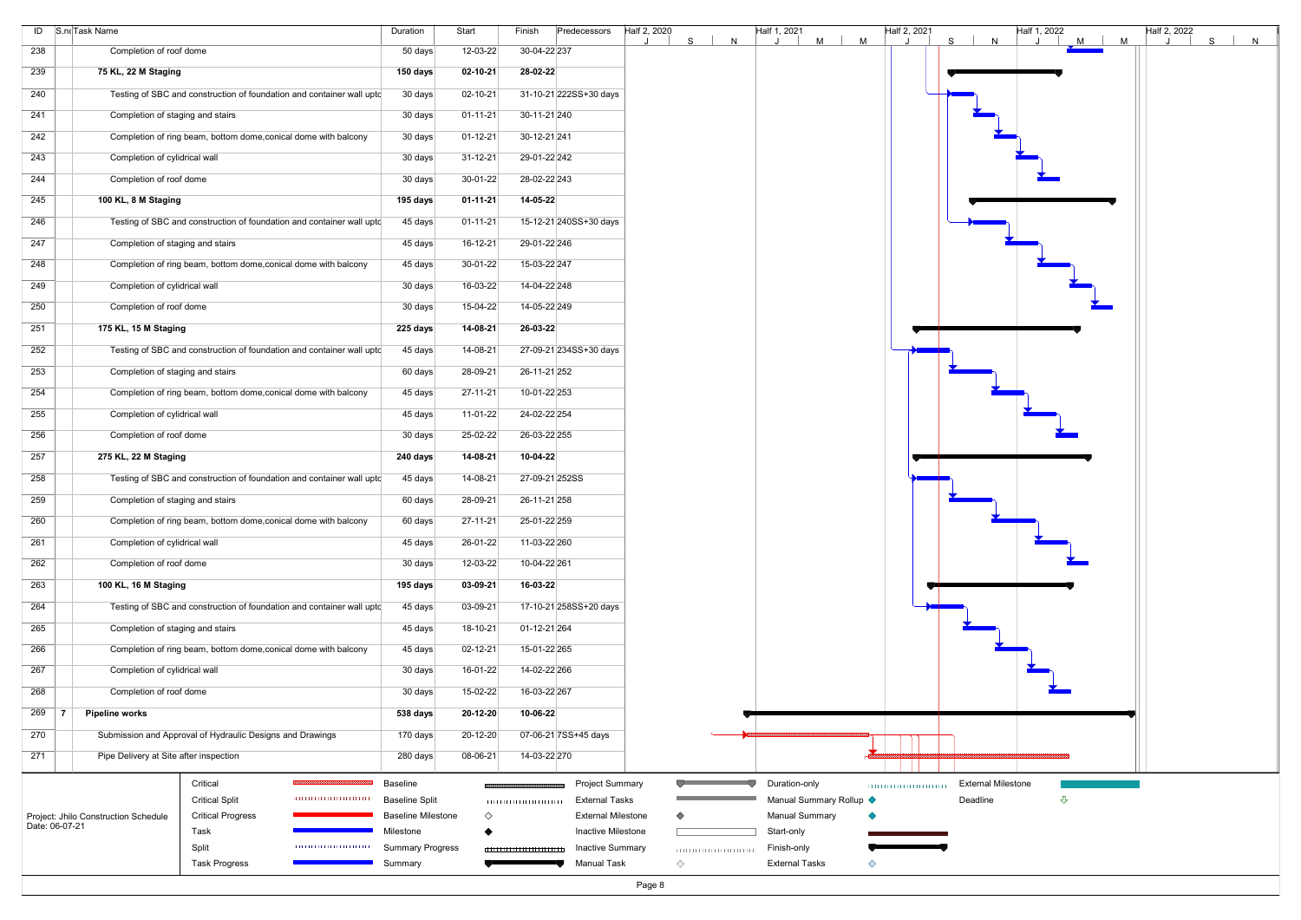|     | ID S.noTask Name                                       |                                                                       | Duration                             | Start          | Finish<br>Predecessors                               | Half 2, 2020<br>Half 1, 2021<br>Half 2, 2021<br>Half 1, 2022<br>Half 2, 2022<br>$M$  <br>M<br>M<br> S <br>S<br>S.<br>N<br>N<br>M<br>N |
|-----|--------------------------------------------------------|-----------------------------------------------------------------------|--------------------------------------|----------------|------------------------------------------------------|---------------------------------------------------------------------------------------------------------------------------------------|
| 238 | Completion of roof dome                                |                                                                       | 50 days                              | 12-03-22       | 30-04-22 237                                         |                                                                                                                                       |
| 239 | 75 KL, 22 M Staging                                    |                                                                       | 150 days                             | 02-10-21       | 28-02-22                                             |                                                                                                                                       |
| 240 |                                                        | Testing of SBC and construction of foundation and container wall upto | 30 days                              | 02-10-21       | 31-10-21 222SS+30 days                               |                                                                                                                                       |
| 241 | Completion of staging and stairs                       |                                                                       | 30 days                              | $01 - 11 - 21$ | 30-11-21 240                                         |                                                                                                                                       |
| 242 |                                                        | Completion of ring beam, bottom dome, conical dome with balcony       | 30 days                              | $01 - 12 - 21$ | 30-12-21 241                                         |                                                                                                                                       |
| 243 | Completion of cylidrical wall                          |                                                                       | 30 days                              | 31-12-21       | 29-01-22 242                                         |                                                                                                                                       |
| 244 | Completion of roof dome                                |                                                                       | 30 days                              | 30-01-22       | 28-02-22 243                                         |                                                                                                                                       |
| 245 | 100 KL, 8 M Staging                                    |                                                                       | 195 days                             | $01 - 11 - 21$ | 14-05-22                                             |                                                                                                                                       |
| 246 |                                                        | Testing of SBC and construction of foundation and container wall upto | 45 days                              | $01 - 11 - 21$ | 15-12-21 240SS+30 days                               |                                                                                                                                       |
| 247 | Completion of staging and stairs                       |                                                                       | 45 days                              | 16-12-21       | 29-01-22 246                                         |                                                                                                                                       |
| 248 |                                                        | Completion of ring beam, bottom dome, conical dome with balcony       | 45 days                              | $30-01-22$     | 15-03-22 247                                         |                                                                                                                                       |
| 249 | Completion of cylidrical wall                          |                                                                       | 30 days                              | 16-03-22       | 14-04-22 248                                         |                                                                                                                                       |
| 250 | Completion of roof dome                                |                                                                       | 30 days                              | 15-04-22       | 14-05-22 249                                         |                                                                                                                                       |
| 251 | 175 KL, 15 M Staging                                   |                                                                       | 225 days                             | 14-08-21       | 26-03-22                                             |                                                                                                                                       |
| 252 |                                                        | Testing of SBC and construction of foundation and container wall upto | 45 days                              | 14-08-21       | 27-09-21 234SS+30 days                               |                                                                                                                                       |
| 253 | Completion of staging and stairs                       |                                                                       | 60 days                              | 28-09-21       | 26-11-21 252                                         |                                                                                                                                       |
| 254 |                                                        | Completion of ring beam, bottom dome, conical dome with balcony       | 45 days                              | 27-11-21       | 10-01-22 253                                         |                                                                                                                                       |
| 255 | Completion of cylidrical wall                          |                                                                       | 45 days                              | 11-01-22       | 24-02-22 254                                         |                                                                                                                                       |
| 256 | Completion of roof dome                                |                                                                       | 30 days                              | 25-02-22       | 26-03-22 255                                         |                                                                                                                                       |
| 257 | 275 KL, 22 M Staging                                   |                                                                       | 240 days                             | 14-08-21       | 10-04-22                                             |                                                                                                                                       |
| 258 |                                                        | Testing of SBC and construction of foundation and container wall uptc | 45 days                              | 14-08-21       | 27-09-21 252SS                                       |                                                                                                                                       |
| 259 | Completion of staging and stairs                       |                                                                       | 60 days                              | 28-09-21       | 26-11-21 258                                         |                                                                                                                                       |
| 260 |                                                        | Completion of ring beam, bottom dome, conical dome with balcony       | 60 days                              | 27-11-21       | 25-01-22 259                                         |                                                                                                                                       |
| 261 | Completion of cylidrical wall                          |                                                                       | 45 days                              | 26-01-22       | 11-03-22 260                                         |                                                                                                                                       |
| 262 | Completion of roof dome                                |                                                                       | 30 days                              | $12 - 03 - 22$ | 10-04-22 261                                         |                                                                                                                                       |
| 263 | 100 KL, 16 M Staging                                   |                                                                       | 195 days                             | 03-09-21       | 16-03-22                                             |                                                                                                                                       |
| 264 |                                                        | Testing of SBC and construction of foundation and container wall upto | 45 days                              | 03-09-21       | 17-10-21 258SS+20 days                               |                                                                                                                                       |
| 265 | Completion of staging and stairs                       |                                                                       | 45 days                              | 18-10-21       | 01-12-21 264                                         |                                                                                                                                       |
| 266 |                                                        | Completion of ring beam, bottom dome, conical dome with balcony       | 45 days                              | 02-12-21       | 15-01-22 265                                         |                                                                                                                                       |
| 267 | Completion of cylidrical wall                          |                                                                       | 30 days                              | 16-01-22       | 14-02-22 266                                         |                                                                                                                                       |
| 268 | Completion of roof dome                                |                                                                       | 30 days                              | 15-02-22       | 16-03-22 267                                         |                                                                                                                                       |
| 269 | <b>Pipeline works</b><br>- 7                           |                                                                       | 538 days                             | 20-12-20       | 10-06-22                                             |                                                                                                                                       |
| 270 |                                                        | Submission and Approval of Hydraulic Designs and Drawings             | 170 days                             | 20-12-20       | 07-06-21 7SS+45 days                                 |                                                                                                                                       |
| 271 | Pipe Delivery at Site after inspection                 |                                                                       | 280 days                             | 08-06-21       | 14-03-22 270                                         |                                                                                                                                       |
|     |                                                        | Critical                                                              | <b>Baseline</b>                      |                | <b>Project Summary</b>                               | Duration-only<br><b>External Milestone</b>                                                                                            |
|     |                                                        | <b>Critical Split</b>                                                 | <b>Baseline Split</b>                |                | <b>External Tasks</b>                                | Manual Summary Rollup <<br>⇩<br>Deadline                                                                                              |
|     | Project: Jhilo Construction Schedule<br>Date: 06-07-21 | <b>Critical Progress</b>                                              | <b>Baseline Milestone</b>            | $\Diamond$     | <b>External Milestone</b>                            | <b>Manual Summary</b><br>◇                                                                                                            |
|     |                                                        | Task<br>Split                                                         | Milestone<br><b>Summary Progress</b> |                | <b>Inactive Milestone</b><br><b>Inactive Summary</b> | Start-only<br>Finish-only                                                                                                             |
|     |                                                        | <b>Task Progress</b>                                                  | Summary                              |                | 111111111111111111111111<br><b>Manual Task</b>       | <b>External Tasks</b><br>$\Diamond$                                                                                                   |
|     |                                                        |                                                                       |                                      |                |                                                      |                                                                                                                                       |

![](_page_7_Figure_2.jpeg)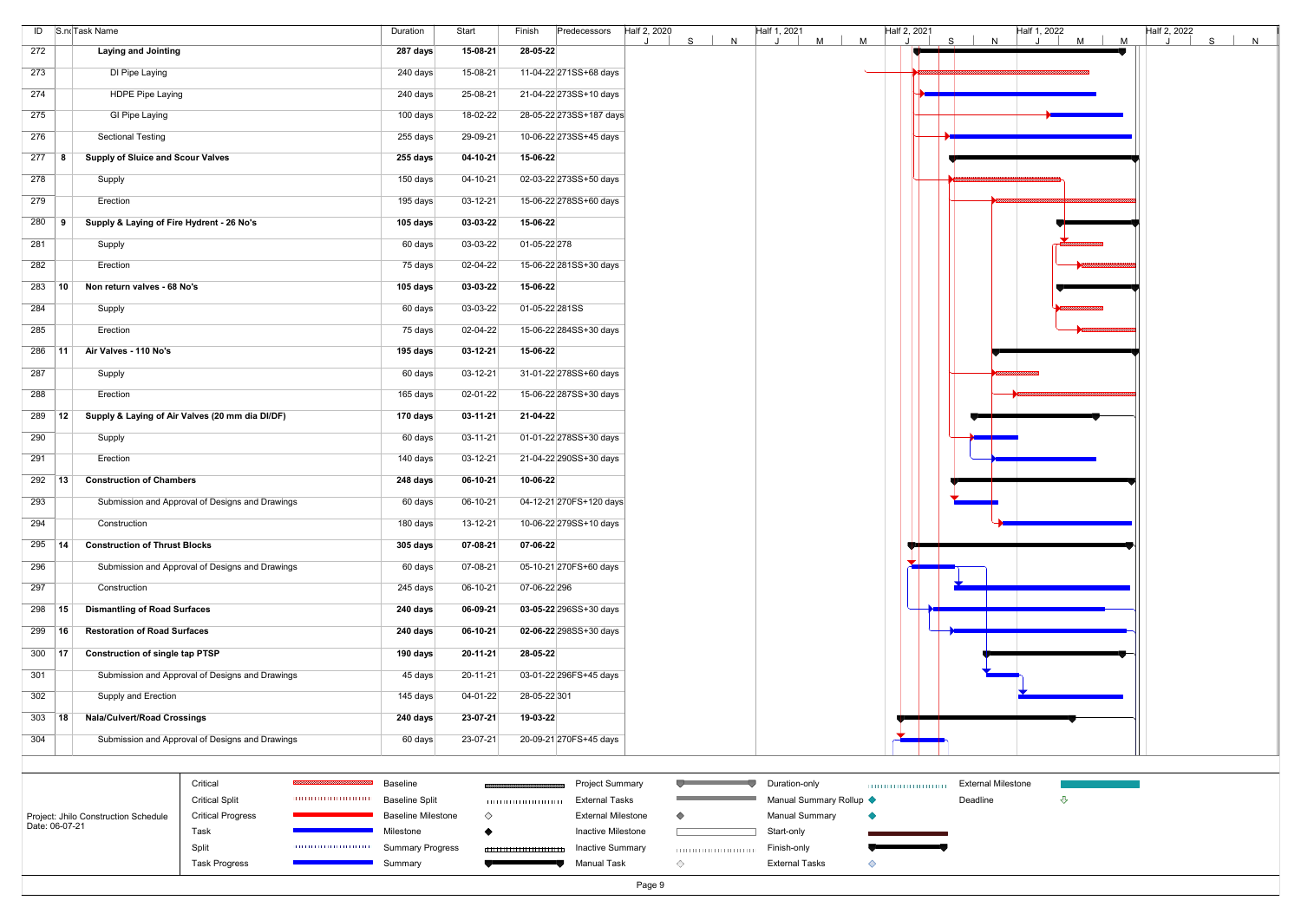|                     | ID S.no Task Name                               | Duration        | Start          | Predecessors<br>Finish  | Half 2, 2020<br>S. | N | Half 1, 2021 | $M$ | M | Half 2, 2021 | S | N |
|---------------------|-------------------------------------------------|-----------------|----------------|-------------------------|--------------------|---|--------------|-----|---|--------------|---|---|
| 272                 | <b>Laying and Jointing</b>                      | 287 days        | $15-08-21$     | 28-05-22                |                    |   |              |     |   |              |   |   |
| 273                 | DI Pipe Laying                                  | 240 days        | 15-08-21       | 11-04-22 271SS+68 days  |                    |   |              |     |   |              |   |   |
| 274                 | <b>HDPE Pipe Laying</b>                         | 240 days        | 25-08-21       | 21-04-22 273SS+10 days  |                    |   |              |     |   |              |   |   |
| 275                 | <b>GI Pipe Laying</b>                           | 100 days        | 18-02-22       | 28-05-22 273SS+187 days |                    |   |              |     |   |              |   |   |
| 276                 | <b>Sectional Testing</b>                        | 255 days        | 29-09-21       | 10-06-22 273SS+45 days  |                    |   |              |     |   |              |   |   |
| $277$ 8             | <b>Supply of Sluice and Scour Valves</b>        | 255 days        | $04-10-21$     | 15-06-22                |                    |   |              |     |   |              |   |   |
| 278                 | Supply                                          | 150 days        | 04-10-21       | 02-03-22 273SS+50 days  |                    |   |              |     |   |              |   |   |
| 279                 | Erection                                        | 195 days        | 03-12-21       | 15-06-22 278SS+60 days  |                    |   |              |     |   |              |   |   |
| $280$ 9             | Supply & Laying of Fire Hydrent - 26 No's       | 105 days        | 03-03-22       | 15-06-22                |                    |   |              |     |   |              |   |   |
| 281                 | Supply                                          | 60 days         | 03-03-22       | 01-05-22 278            |                    |   |              |     |   |              |   |   |
| 282                 | Erection                                        | 75 days         | 02-04-22       | 15-06-22 281SS+30 days  |                    |   |              |     |   |              |   |   |
| $283$ 10            | Non return valves - 68 No's                     | 105 days        | 03-03-22       | 15-06-22                |                    |   |              |     |   |              |   |   |
| 284                 | Supply                                          | 60 days         | 03-03-22       | 01-05-22 281SS          |                    |   |              |     |   |              |   |   |
| 285                 | Erection                                        | 75 days         | 02-04-22       | 15-06-22 284SS+30 days  |                    |   |              |     |   |              |   |   |
| $286$ 11            | Air Valves - 110 No's                           | 195 days        | 03-12-21       | 15-06-22                |                    |   |              |     |   |              |   |   |
| 287                 | Supply                                          | 60 days         | $03-12-21$     | 31-01-22 278SS+60 days  |                    |   |              |     |   |              |   |   |
| 288                 | Erection                                        | 165 days        | 02-01-22       | 15-06-22 287SS+30 days  |                    |   |              |     |   |              |   |   |
| 289 12              | Supply & Laying of Air Valves (20 mm dia DI/DF) | 170 days        | $03-11-21$     | 21-04-22                |                    |   |              |     |   |              |   |   |
| 290                 | Supply                                          | 60 days         | $03 - 11 - 21$ | 01-01-22 278SS+30 days  |                    |   |              |     |   |              |   |   |
| 291                 | Erection                                        | 140 days        | $03-12-21$     | 21-04-22 290SS+30 days  |                    |   |              |     |   |              |   |   |
| $292$ 13            | <b>Construction of Chambers</b>                 | 248 days        | 06-10-21       | 10-06-22                |                    |   |              |     |   |              |   |   |
| 293                 | Submission and Approval of Designs and Drawings | 60 days         | $06-10-21$     | 04-12-21 270FS+120 days |                    |   |              |     |   |              |   |   |
| 294                 | Construction                                    | 180 days        | $13 - 12 - 21$ | 10-06-22 279SS+10 days  |                    |   |              |     |   |              |   |   |
| 295<br> 14          | <b>Construction of Thrust Blocks</b>            | <b>305 days</b> | 07-08-21       | 07-06-22                |                    |   |              |     |   |              |   |   |
| 296                 | Submission and Approval of Designs and Drawings | 60 days         | 07-08-21       | 05-10-21 270FS+60 days  |                    |   |              |     |   |              |   |   |
| 297                 | Construction                                    | 245 days        | 06-10-21       | 07-06-22 296            |                    |   |              |     |   |              |   |   |
| 298<br>$ 15\rangle$ | <b>Dismantling of Road Surfaces</b>             | 240 days        | 06-09-21       | 03-05-22 296SS+30 days  |                    |   |              |     |   |              |   |   |
| 299<br>16           | <b>Restoration of Road Surfaces</b>             | 240 days        | 06-10-21       | 02-06-22 298SS+30 days  |                    |   |              |     |   |              |   |   |
| 300   <b>17</b>     | <b>Construction of single tap PTSP</b>          | 190 days        | $20 - 11 - 21$ | 28-05-22                |                    |   |              |     |   |              |   |   |
| 301                 | Submission and Approval of Designs and Drawings | 45 days         | $20 - 11 - 21$ | 03-01-22 296FS+45 days  |                    |   |              |     |   |              |   |   |
| 302                 | Supply and Erection                             | 145 days        | 04-01-22       | 28-05-22 301            |                    |   |              |     |   |              |   |   |
| $303$ 18            | <b>Nala/Culvert/Road Crossings</b>              | 240 days        | 23-07-21       | 19-03-22                |                    |   |              |     |   |              |   |   |
| 304                 | Submission and Approval of Designs and Drawings | 60 days         | 23-07-21       | 20-09-21 270FS+45 days  |                    |   |              |     |   |              |   |   |

|                                      | Critical                 | ,,,,,,,,,,,,,,,,,,,,      | <b>Baseline</b>           | <b>Project Summary</b>    | Duration-only           | Exter |
|--------------------------------------|--------------------------|---------------------------|---------------------------|---------------------------|-------------------------|-------|
|                                      | <b>Critical Split</b>    | ,,,,,,,,,,,,,,,,,,,,,,,,, | <b>Baseline Split</b>     | <br>External Tasks        | Manual Summary Rollup ♦ | Deadl |
| Project: Jhilo Construction Schedule | <b>Critical Progress</b> |                           | <b>Baseline Milestone</b> | <b>External Milestone</b> | Manual Summary          |       |
| Date: 06-07-21                       | Task                     |                           | Milestone                 | Inactive Milestone        | Start-only              |       |
|                                      | Split                    | ,,,,,,,,,,,,,,,,,,,,,,,,, | <b>Summary Progress</b>   | <b>Inactive Summary</b>   | Finish-only             |       |
|                                      | <b>Task Progress</b>     |                           | Summary                   | <b>Manual Task</b>        | <b>External Tasks</b>   |       |

![](_page_8_Figure_3.jpeg)